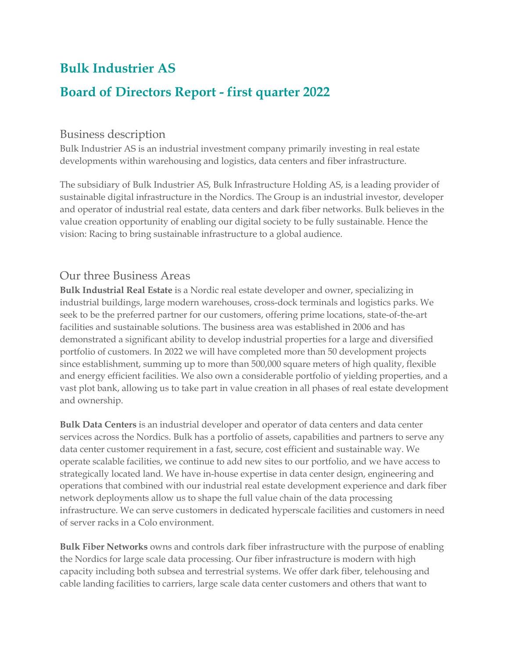## **Bulk Industrier AS**

## **Board of Directors Report - first quarter 2022**

## Business description

Bulk Industrier AS is an industrial investment company primarily investing in real estate developments within warehousing and logistics, data centers and fiber infrastructure.

The subsidiary of Bulk Industrier AS, Bulk Infrastructure Holding AS, is a leading provider of sustainable digital infrastructure in the Nordics. The Group is an industrial investor, developer and operator of industrial real estate, data centers and dark fiber networks. Bulk believes in the value creation opportunity of enabling our digital society to be fully sustainable. Hence the vision: Racing to bring sustainable infrastructure to a global audience.

## Our three Business Areas

**Bulk Industrial Real Estate** is a Nordic real estate developer and owner, specializing in industrial buildings, large modern warehouses, cross-dock terminals and logistics parks. We seek to be the preferred partner for our customers, offering prime locations, state-of-the-art facilities and sustainable solutions. The business area was established in 2006 and has demonstrated a significant ability to develop industrial properties for a large and diversified portfolio of customers. In 2022 we will have completed more than 50 development projects since establishment, summing up to more than 500,000 square meters of high quality, flexible and energy efficient facilities. We also own a considerable portfolio of yielding properties, and a vast plot bank, allowing us to take part in value creation in all phases of real estate development and ownership.

**Bulk Data Centers** is an industrial developer and operator of data centers and data center services across the Nordics. Bulk has a portfolio of assets, capabilities and partners to serve any data center customer requirement in a fast, secure, cost efficient and sustainable way. We operate scalable facilities, we continue to add new sites to our portfolio, and we have access to strategically located land. We have in-house expertise in data center design, engineering and operations that combined with our industrial real estate development experience and dark fiber network deployments allow us to shape the full value chain of the data processing infrastructure. We can serve customers in dedicated hyperscale facilities and customers in need of server racks in a Colo environment.

**Bulk Fiber Networks** owns and controls dark fiber infrastructure with the purpose of enabling the Nordics for large scale data processing. Our fiber infrastructure is modern with high capacity including both subsea and terrestrial systems. We offer dark fiber, telehousing and cable landing facilities to carriers, large scale data center customers and others that want to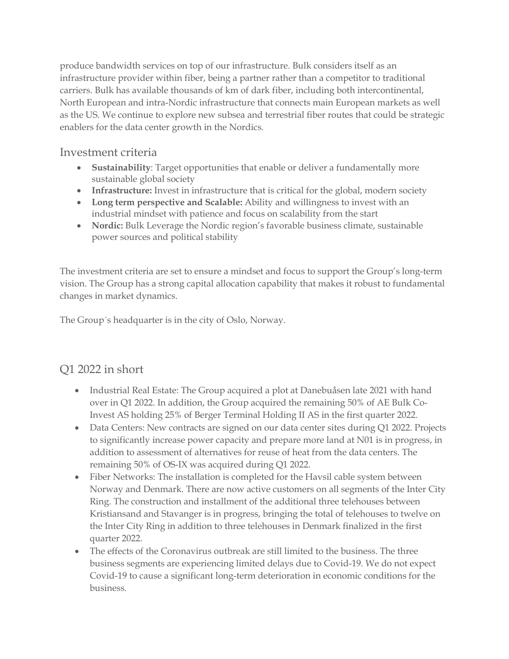produce bandwidth services on top of our infrastructure. Bulk considers itself as an infrastructure provider within fiber, being a partner rather than a competitor to traditional carriers. Bulk has available thousands of km of dark fiber, including both intercontinental, North European and intra-Nordic infrastructure that connects main European markets as well as the US. We continue to explore new subsea and terrestrial fiber routes that could be strategic enablers for the data center growth in the Nordics.

## Investment criteria

- **Sustainability**: Target opportunities that enable or deliver a fundamentally more sustainable global society
- **Infrastructure:** Invest in infrastructure that is critical for the global, modern society
- **Long term perspective and Scalable:** Ability and willingness to invest with an industrial mindset with patience and focus on scalability from the start
- **Nordic:** Bulk Leverage the Nordic region's favorable business climate, sustainable power sources and political stability

The investment criteria are set to ensure a mindset and focus to support the Group's long-term vision. The Group has a strong capital allocation capability that makes it robust to fundamental changes in market dynamics.

The Group´s headquarter is in the city of Oslo, Norway.

## Q1 2022 in short

- Industrial Real Estate: The Group acquired a plot at Danebuåsen late 2021 with hand over in Q1 2022. In addition, the Group acquired the remaining 50% of AE Bulk Co-Invest AS holding 25% of Berger Terminal Holding II AS in the first quarter 2022.
- Data Centers: New contracts are signed on our data center sites during Q1 2022. Projects to significantly increase power capacity and prepare more land at N01 is in progress, in addition to assessment of alternatives for reuse of heat from the data centers. The remaining 50% of OS-IX was acquired during Q1 2022.
- Fiber Networks: The installation is completed for the Havsil cable system between Norway and Denmark. There are now active customers on all segments of the Inter City Ring. The construction and installment of the additional three telehouses between Kristiansand and Stavanger is in progress, bringing the total of telehouses to twelve on the Inter City Ring in addition to three telehouses in Denmark finalized in the first quarter 2022.
- The effects of the Coronavirus outbreak are still limited to the business. The three business segments are experiencing limited delays due to Covid-19. We do not expect Covid-19 to cause a significant long-term deterioration in economic conditions for the business.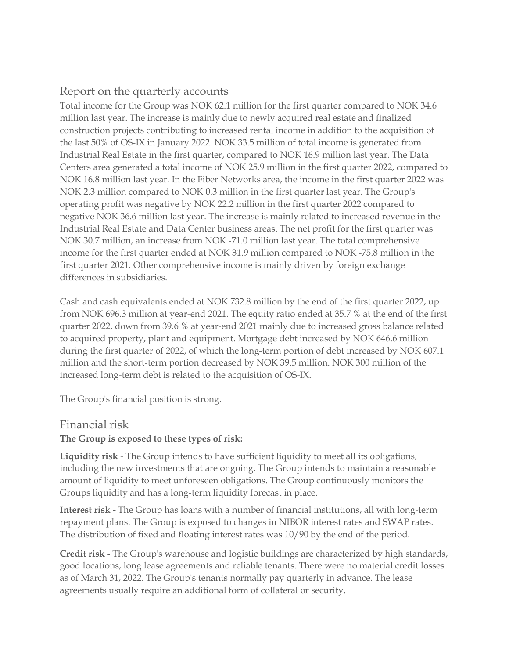## Report on the quarterly accounts

Total income for the Group was NOK 62.1 million for the first quarter compared to NOK 34.6 million last year. The increase is mainly due to newly acquired real estate and finalized construction projects contributing to increased rental income in addition to the acquisition of the last 50% of OS-IX in January 2022. NOK 33.5 million of total income is generated from Industrial Real Estate in the first quarter, compared to NOK 16.9 million last year. The Data Centers area generated a total income of NOK 25.9 million in the first quarter 2022, compared to NOK 16.8 million last year. In the Fiber Networks area, the income in the first quarter 2022 was NOK 2.3 million compared to NOK 0.3 million in the first quarter last year. The Group's operating profit was negative by NOK 22.2 million in the first quarter 2022 compared to negative NOK 36.6 million last year. The increase is mainly related to increased revenue in the Industrial Real Estate and Data Center business areas. The net profit for the first quarter was NOK 30.7 million, an increase from NOK -71.0 million last year. The total comprehensive income for the first quarter ended at NOK 31.9 million compared to NOK -75.8 million in the first quarter 2021. Other comprehensive income is mainly driven by foreign exchange differences in subsidiaries.

Cash and cash equivalents ended at NOK 732.8 million by the end of the first quarter 2022, up from NOK 696.3 million at year-end 2021. The equity ratio ended at 35.7 % at the end of the first quarter 2022, down from 39.6 % at year-end 2021 mainly due to increased gross balance related to acquired property, plant and equipment. Mortgage debt increased by NOK 646.6 million during the first quarter of 2022, of which the long-term portion of debt increased by NOK 607.1 million and the short-term portion decreased by NOK 39.5 million. NOK 300 million of the increased long-term debt is related to the acquisition of OS-IX.

The Group's financial position is strong.

## Financial risk

### **The Group is exposed to these types of risk:**

**Liquidity risk** - The Group intends to have sufficient liquidity to meet all its obligations, including the new investments that are ongoing. The Group intends to maintain a reasonable amount of liquidity to meet unforeseen obligations. The Group continuously monitors the Groups liquidity and has a long-term liquidity forecast in place.

**Interest risk -** The Group has loans with a number of financial institutions, all with long-term repayment plans. The Group is exposed to changes in NIBOR interest rates and SWAP rates. The distribution of fixed and floating interest rates was 10/90 by the end of the period.

**Credit risk -** The Group's warehouse and logistic buildings are characterized by high standards, good locations, long lease agreements and reliable tenants. There were no material credit losses as of March 31, 2022. The Group's tenants normally pay quarterly in advance. The lease agreements usually require an additional form of collateral or security.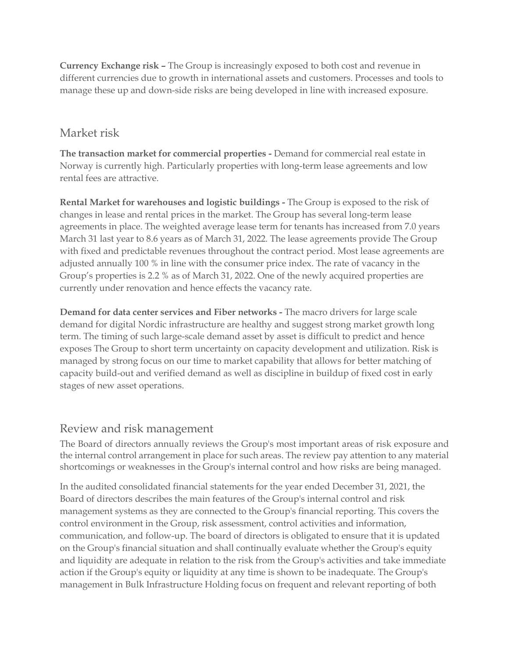**Currency Exchange risk –** The Group is increasingly exposed to both cost and revenue in different currencies due to growth in international assets and customers. Processes and tools to manage these up and down-side risks are being developed in line with increased exposure.

## Market risk

**The transaction market for commercial properties -** Demand for commercial real estate in Norway is currently high. Particularly properties with long-term lease agreements and low rental fees are attractive.

**Rental Market for warehouses and logistic buildings -** The Group is exposed to the risk of changes in lease and rental prices in the market. The Group has several long-term lease agreements in place. The weighted average lease term for tenants has increased from 7.0 years March 31 last year to 8.6 years as of March 31, 2022. The lease agreements provide The Group with fixed and predictable revenues throughout the contract period. Most lease agreements are adjusted annually 100 % in line with the consumer price index. The rate of vacancy in the Group's properties is 2.2 % as of March 31, 2022. One of the newly acquired properties are currently under renovation and hence effects the vacancy rate.

**Demand for data center services and Fiber networks -** The macro drivers for large scale demand for digital Nordic infrastructure are healthy and suggest strong market growth long term. The timing of such large-scale demand asset by asset is difficult to predict and hence exposes The Group to short term uncertainty on capacity development and utilization. Risk is managed by strong focus on our time to market capability that allows for better matching of capacity build-out and verified demand as well as discipline in buildup of fixed cost in early stages of new asset operations.

## Review and risk management

The Board of directors annually reviews the Group's most important areas of risk exposure and the internal control arrangement in place for such areas. The review pay attention to any material shortcomings or weaknesses in the Group's internal control and how risks are being managed.

In the audited consolidated financial statements for the year ended December 31, 2021, the Board of directors describes the main features of the Group's internal control and risk management systems as they are connected to the Group's financial reporting. This covers the control environment in the Group, risk assessment, control activities and information, communication, and follow-up. The board of directors is obligated to ensure that it is updated on the Group's financial situation and shall continually evaluate whether the Group's equity and liquidity are adequate in relation to the risk from the Group's activities and take immediate action if the Group's equity or liquidity at any time is shown to be inadequate. The Group's management in Bulk Infrastructure Holding focus on frequent and relevant reporting of both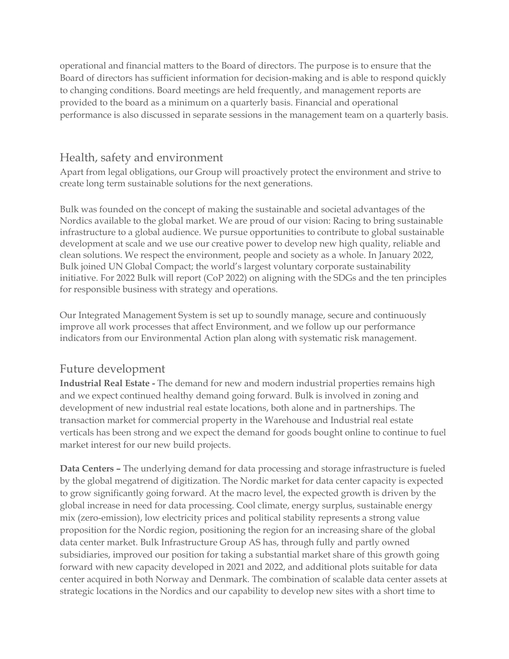operational and financial matters to the Board of directors. The purpose is to ensure that the Board of directors has sufficient information for decision-making and is able to respond quickly to changing conditions. Board meetings are held frequently, and management reports are provided to the board as a minimum on a quarterly basis. Financial and operational performance is also discussed in separate sessions in the management team on a quarterly basis.

## Health, safety and environment

Apart from legal obligations, our Group will proactively protect the environment and strive to create long term sustainable solutions for the next generations.

Bulk was founded on the concept of making the sustainable and societal advantages of the Nordics available to the global market. We are proud of our vision: Racing to bring sustainable infrastructure to a global audience. We pursue opportunities to contribute to global sustainable development at scale and we use our creative power to develop new high quality, reliable and clean solutions. We respect the environment, people and society as a whole. In January 2022, Bulk joined UN Global Compact; the world's largest voluntary corporate sustainability initiative. For 2022 Bulk will report (CoP 2022) on aligning with the SDGs and the ten principles for responsible business with strategy and operations.

Our Integrated Management System is set up to soundly manage, secure and continuously improve all work processes that affect Environment, and we follow up our performance indicators from our Environmental Action plan along with systematic risk management.

## Future development

**Industrial Real Estate -** The demand for new and modern industrial properties remains high and we expect continued healthy demand going forward. Bulk is involved in zoning and development of new industrial real estate locations, both alone and in partnerships. The transaction market for commercial property in the Warehouse and Industrial real estate verticals has been strong and we expect the demand for goods bought online to continue to fuel market interest for our new build projects.

**Data Centers –** The underlying demand for data processing and storage infrastructure is fueled by the global megatrend of digitization. The Nordic market for data center capacity is expected to grow significantly going forward. At the macro level, the expected growth is driven by the global increase in need for data processing. Cool climate, energy surplus, sustainable energy mix (zero-emission), low electricity prices and political stability represents a strong value proposition for the Nordic region, positioning the region for an increasing share of the global data center market. Bulk Infrastructure Group AS has, through fully and partly owned subsidiaries, improved our position for taking a substantial market share of this growth going forward with new capacity developed in 2021 and 2022, and additional plots suitable for data center acquired in both Norway and Denmark. The combination of scalable data center assets at strategic locations in the Nordics and our capability to develop new sites with a short time to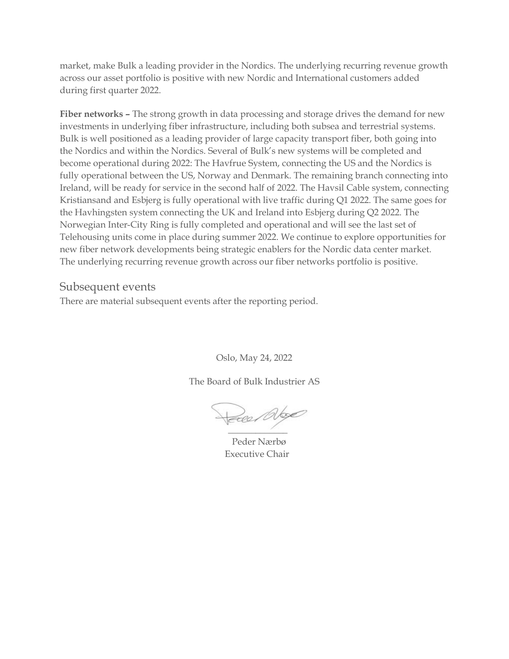market, make Bulk a leading provider in the Nordics. The underlying recurring revenue growth across our asset portfolio is positive with new Nordic and International customers added during first quarter 2022.

**Fiber networks –** The strong growth in data processing and storage drives the demand for new investments in underlying fiber infrastructure, including both subsea and terrestrial systems. Bulk is well positioned as a leading provider of large capacity transport fiber, both going into the Nordics and within the Nordics. Several of Bulk's new systems will be completed and become operational during 2022: The Havfrue System, connecting the US and the Nordics is fully operational between the US, Norway and Denmark. The remaining branch connecting into Ireland, will be ready for service in the second half of 2022. The Havsil Cable system, connecting Kristiansand and Esbjerg is fully operational with live traffic during Q1 2022. The same goes for the Havhingsten system connecting the UK and Ireland into Esbjerg during Q2 2022. The Norwegian Inter-City Ring is fully completed and operational and will see the last set of Telehousing units come in place during summer 2022. We continue to explore opportunities for new fiber network developments being strategic enablers for the Nordic data center market. The underlying recurring revenue growth across our fiber networks portfolio is positive.

### Subsequent events

There are material subsequent events after the reporting period.

Oslo, May 24, 2022

The Board of Bulk Industrier AS

2001 Abge  $\mathcal{L}$ 

 Peder Nærbø Executive Chair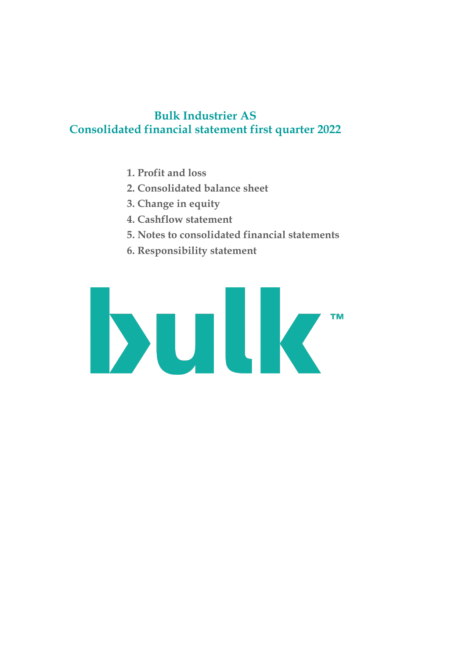## **Bulk Industrier AS Consolidated financial statement first quarter 2022**

- **1. Profit and loss**
- **2. Consolidated balance sheet**
- **3. Change in equity**
- **4. Cashflow statement**
- **5. Notes to consolidated financial statements**
- **6. Responsibility statement**

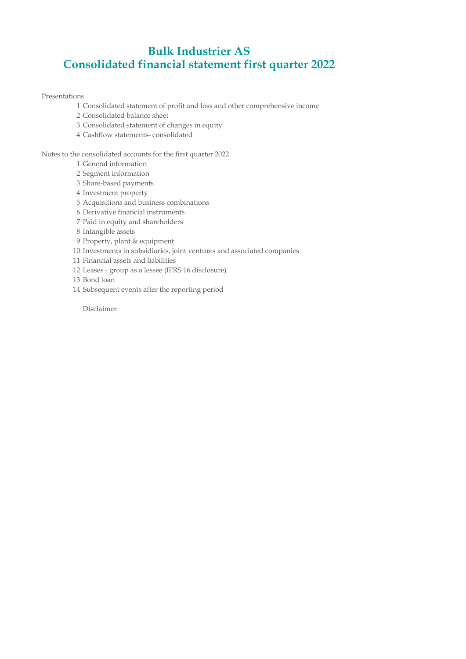## **Bulk Industrier AS Consolidated financial statement first quarter 2022**

Presentations

- Consolidated statement of profit and loss and other comprehensive income
- Consolidated balance sheet
- Consolidated statement of changes in equity
- Cashflow statements- consolidated

Notes to the consolidated accounts for the first quarter 2022

- General information
- Segment information
- Share-based payments
- Investment property
- Acquisitions and business combinations
- Derivative financial instruments
- Paid in equity and shareholders
- Intangible assets
- Property, plant & equipment
- Investments in subsidiaries, joint ventures and associated companies
- Financial assets and liabilities
- Leases group as a lessee (IFRS 16 disclosure)
- Bond loan
- Subsequent events after the reporting period

Disclaimer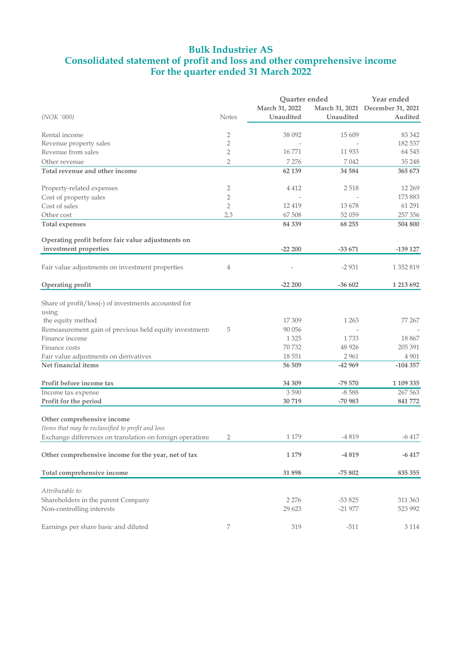### **Bulk Industrier AS Consolidated statement of profit and loss and other comprehensive income For the quarter ended 31 March 2022**

|                                                           |                |          | Quarter ended<br>March 31, 2022<br>Unaudited<br>Unaudited |                                  |  |  |
|-----------------------------------------------------------|----------------|----------|-----------------------------------------------------------|----------------------------------|--|--|
|                                                           |                |          |                                                           | March 31, 2021 December 31, 2021 |  |  |
| (NOK '000)                                                | <b>Notes</b>   |          |                                                           | Audited                          |  |  |
|                                                           |                |          |                                                           |                                  |  |  |
| Rental income                                             | 2              | 38 092   | 15 609                                                    | 83 342                           |  |  |
| Revenue property sales                                    | $\overline{2}$ |          |                                                           | 182 537                          |  |  |
| Revenue from sales                                        | $\overline{2}$ | 16771    | 11 933                                                    | 64 545                           |  |  |
| Other revenue                                             | $\overline{2}$ | 7 2 7 6  | 7042                                                      | 35 248                           |  |  |
| Total revenue and other income                            |                | 62 139   | 34 5 84                                                   | 365 673                          |  |  |
| Property-related expenses                                 | 2              | 4 4 1 2  | 2518                                                      | 12 2 69                          |  |  |
| Cost of property sales                                    | $\overline{2}$ |          |                                                           | 173 883                          |  |  |
| Cost of sales                                             | $\overline{2}$ | 12 4 19  | 13 678                                                    | 61 291                           |  |  |
| Other cost                                                | 2,3            | 67 508   | 52 059                                                    | 257 356                          |  |  |
| <b>Total expenses</b>                                     |                | 84 339   | 68 255                                                    | 504 800                          |  |  |
| Operating profit before fair value adjustments on         |                |          |                                                           |                                  |  |  |
| investment properties                                     |                | $-22200$ | $-33671$                                                  | $-139127$                        |  |  |
| Fair value adjustments on investment properties           | 4              |          | $-2931$                                                   | 1 352 819                        |  |  |
| Operating profit                                          |                | $-22200$ | $-36602$                                                  | 1 213 692                        |  |  |
|                                                           |                |          |                                                           |                                  |  |  |
| Share of profit/loss(-) of investments accounted for      |                |          |                                                           |                                  |  |  |
| using                                                     |                |          |                                                           |                                  |  |  |
| the equity method                                         |                | 17 309   | 1 2 6 3                                                   | 77 267                           |  |  |
| Remeasurement gain of previous held equity investments    | 5              | 90 056   |                                                           |                                  |  |  |
| Finance income                                            |                | 1 3 2 5  | 1733                                                      | 18 867                           |  |  |
| Finance costs                                             |                | 70 732   | 48 9 26                                                   | 205 391                          |  |  |
| Fair value adjustments on derivatives                     |                | 18 551   | 2 9 6 1                                                   | 4 9 0 1                          |  |  |
| Net financial items                                       |                | 56 509   | $-42969$                                                  | $-104357$                        |  |  |
| Profit before income tax                                  |                | 34 309   | $-79570$                                                  | 1 109 335                        |  |  |
| Income tax expense                                        |                | 3590     | $-8588$                                                   | 267 563                          |  |  |
| Profit for the period                                     |                | 30719    | $-70983$                                                  | 841 772                          |  |  |
|                                                           |                |          |                                                           |                                  |  |  |
| Other comprehensive income                                |                |          |                                                           |                                  |  |  |
| Items that may be reclassified to profit and loss         |                |          |                                                           |                                  |  |  |
| Exchange differences on translation on foreign operations | 2              | 1 1 7 9  | -4 819                                                    | $-6417$                          |  |  |
| Other comprehensive income for the year, net of tax       |                | 1 1 7 9  | -4819                                                     | $-6417$                          |  |  |
| Total comprehensive income                                |                | 31898    | $-75802$                                                  | 835 355                          |  |  |
|                                                           |                |          |                                                           |                                  |  |  |
| Attributable to:                                          |                |          |                                                           |                                  |  |  |
| Shareholders in the parent Company                        |                | 2 2 7 6  | $-53825$                                                  | 311 363                          |  |  |
| Non-controlling interests                                 |                | 29 623   | $-21977$                                                  | 523 992                          |  |  |
| Earnings per share basic and diluted                      | 7              | 319      | $-511$                                                    | $3\;114$                         |  |  |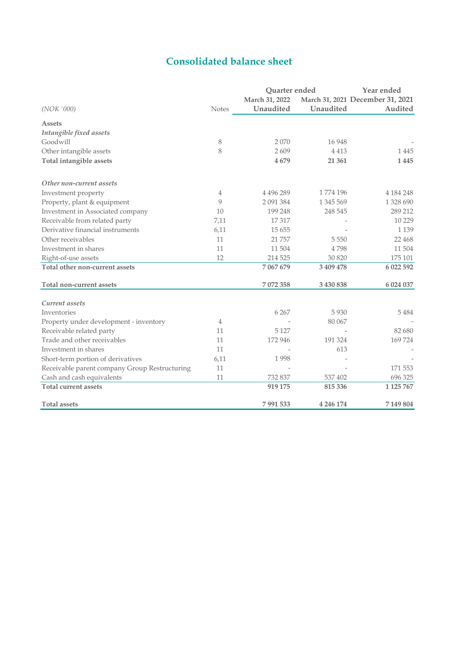## **Consolidated balance sheet**

|                                               |               | Quarter ended  |           | Year ended                       |  |
|-----------------------------------------------|---------------|----------------|-----------|----------------------------------|--|
|                                               |               | March 31, 2022 |           | March 31, 2021 December 31, 2021 |  |
| (NOK'000)                                     | <b>Notes</b>  | Unaudited      | Unaudited | Audited                          |  |
| <b>Assets</b>                                 |               |                |           |                                  |  |
| Intangible fixed assets                       |               |                |           |                                  |  |
| Goodwill                                      | 8             | 2070           | 16 948    |                                  |  |
| Other intangible assets                       | 8             | 2609           | 4413      | 1445                             |  |
| Total intangible assets                       |               | 4679           | 21 361    | 1445                             |  |
| Other non-current assets                      |               |                |           |                                  |  |
| Investment property                           | 4             | 4 4 9 6 2 8 9  | 1774 196  | 4 184 248                        |  |
| Property, plant & equipment                   | $\mathcal{Q}$ | 2 091 384      | 1 345 569 | 1 328 690                        |  |
| Investment in Associated company              | 10            | 199 248        | 248 545   | 289 212                          |  |
| Receivable from related party                 | 7,11          | 17317          |           | 10 229                           |  |
| Derivative financial instruments              | 6,11          | 15 6 5 5       |           | 1 1 3 9                          |  |
| Other receivables                             | 11            | 21 757         | 5 5 5 0   | 22 4 6 8                         |  |
| Investment in shares                          | 11            | 11504          | 4798      | 11504                            |  |
| Right-of-use assets                           | 12            | 214 525        | 30 820    | 175 101                          |  |
| Total other non-current assets                |               | 7 067 679      | 3 409 478 | 6 022 592                        |  |
| Total non-current assets                      |               | 7072358        | 3 430 838 | 6 024 037                        |  |
| Current assets                                |               |                |           |                                  |  |
| Inventories                                   |               | 6 2 6 7        | 5 9 3 0   | 5484                             |  |
| Property under development - inventory        | 4             |                | 80 067    |                                  |  |
| Receivable related party                      | 11            | 5 1 2 7        |           | 82 680                           |  |
| Trade and other receivables                   | 11            | 172 946        | 191 324   | 169724                           |  |
| Investment in shares                          | 11            |                | 613       |                                  |  |
| Short-term portion of derivatives             | 6,11          | 1998           |           |                                  |  |
| Receivable parent company Group Restructuring | 11            |                |           | 171 553                          |  |
| Cash and cash equivalents                     | 11            | 732 837        | 537 402   | 696 325                          |  |
| <b>Total current assets</b>                   |               | 919 175        | 815 336   | 1 1 25 7 67                      |  |
| <b>Total assets</b>                           |               | 7991533        | 4 246 174 | 7149804                          |  |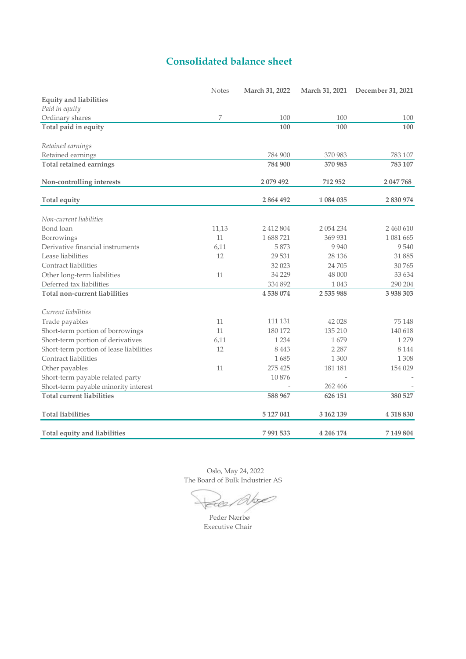## **Consolidated balance sheet**

|                                         | <b>Notes</b> | March 31, 2022 | March 31, 2021 | December 31, 2021 |
|-----------------------------------------|--------------|----------------|----------------|-------------------|
| <b>Equity and liabilities</b>           |              |                |                |                   |
| Paid in equity                          |              |                |                |                   |
| Ordinary shares                         | 7            | 100            | 100            | 100               |
| Total paid in equity                    |              | 100            | 100            | 100               |
| Retained earnings                       |              |                |                |                   |
| Retained earnings                       |              | 784 900        | 370 983        | 783 107           |
| <b>Total retained earnings</b>          |              | 784 900        | 370 983        | 783 107           |
| Non-controlling interests               |              | 2079492        | 712 952        | 2047768           |
| <b>Total equity</b>                     |              | 2 864 492      | 1 084 035      | 2 830 974         |
| Non-current liabilities                 |              |                |                |                   |
| Bond loan                               | 11,13        | 2 412 804      | 2 0 5 4 2 3 4  | 2 460 610         |
| Borrowings                              | 11           | 1688721        | 369 931        | 1 081 665         |
| Derivative financial instruments        | 6,11         | 5873           | 9 9 4 0        | 9540              |
| Lease liabilities                       | 12           | 29 531         | 28 1 36        | 31 885            |
| Contract liabilities                    |              | 32 023         | 24 705         | 30 765            |
| Other long-term liabilities             | 11           | 34 229         | 48 000         | 33 634            |
| Deferred tax liabilities                |              | 334 892        | 1 0 4 3        | 290 204           |
| Total non-current liabilities           |              | 4538074        | 2535988        | 3 938 303         |
| Current liabilities                     |              |                |                |                   |
| Trade payables                          | 11           | 111 131        | 42 028         | 75 148            |
| Short-term portion of borrowings        | 11           | 180 172        | 135 210        | 140 618           |
| Short-term portion of derivatives       | 6,11         | 1 2 3 4        | 1679           | 1 2 7 9           |
| Short-term portion of lease liabilities | 12           | 8443           | 2 2 8 7        | 8 1 4 4           |
| Contract liabilities                    |              | 1685           | 1 300          | 1 3 0 8           |
| Other payables                          | 11           | 275 425        | 181 181        | 154 029           |
| Short-term payable related party        |              | 10876          |                |                   |
| Short-term payable minority interest    |              |                | 262 466        |                   |
| <b>Total current liabilities</b>        |              | 588 967        | 626 151        | 380 527           |
| <b>Total liabilities</b>                |              | 5 127 041      | 3 162 139      | 4 318 830         |
| Total equity and liabilities            |              | 7991533        | 4 246 174      | 7 149 804         |

 Oslo, May 24, 2022 The Board of Bulk Industrier AS

Doe face

Executive Chair Peder Nærbø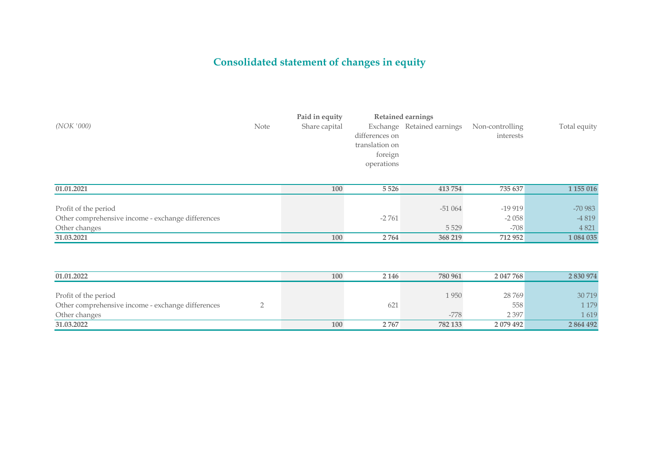# **Consolidated statement of changes in equity**

|            |             | Paid in equity | <b>Retained earnings</b> |                                            |           |              |
|------------|-------------|----------------|--------------------------|--------------------------------------------|-----------|--------------|
| (NOK '000) | <b>Note</b> | Share capital  |                          | Exchange Retained earnings Non-controlling |           | Total equity |
|            |             |                | differences on           |                                            | interests |              |
|            |             |                | translation on           |                                            |           |              |
|            |             |                | foreign                  |                                            |           |              |
|            |             |                | operations               |                                            |           |              |

| 01.01.2021                                        | 100 | 5 5 2 6 | 413 754  | 735 637  | 1 155 016 |
|---------------------------------------------------|-----|---------|----------|----------|-----------|
|                                                   |     |         |          |          |           |
| Profit of the period                              |     |         | $-51064$ | $-19919$ | -70 983   |
| Other comprehensive income - exchange differences |     | $-2761$ |          | $-2058$  | -4819     |
| Other changes                                     |     |         | 5529     | $-708$   | 4 8 21    |
| 31.03.2021                                        | 100 | 2764    | 368 219  | 712 952  | 1 084 035 |

| 01.01.2022                                        | 100 | 2 1 4 6  | 780 961 | 2 047 768 | 2 830 974 |
|---------------------------------------------------|-----|----------|---------|-----------|-----------|
|                                                   |     |          |         |           |           |
| Profit of the period                              |     |          | 1950    | 28769     | 30 719    |
| Other comprehensive income - exchange differences |     | $62^{7}$ |         | 558       | 179       |
| Other changes                                     |     |          | $-778$  | 2 3 9 7   | 1619      |
| 31.03.2022                                        | 100 | 2767     | 782 133 | 2 079 492 | 2 864 492 |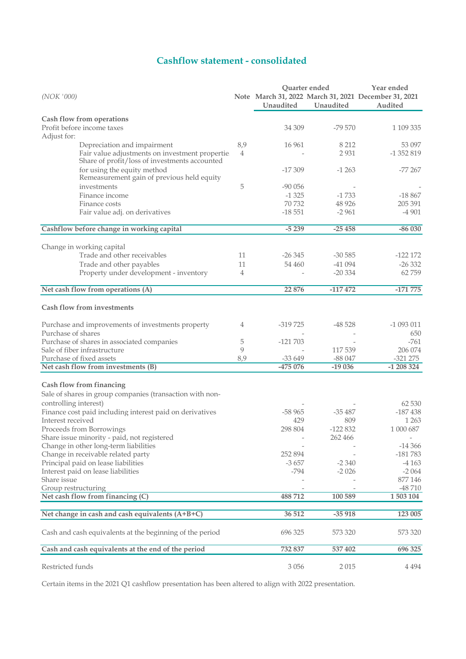## **Cashflow statement - consolidated**

|                                                                                                 |     | Quarter ended            |           | Year ended                                           |  |  |
|-------------------------------------------------------------------------------------------------|-----|--------------------------|-----------|------------------------------------------------------|--|--|
| (NOK '000)                                                                                      |     |                          |           | Note March 31, 2022 March 31, 2021 December 31, 2021 |  |  |
|                                                                                                 |     | Unaudited                | Unaudited | Audited                                              |  |  |
| Cash flow from operations                                                                       |     |                          |           |                                                      |  |  |
| Profit before income taxes<br>Adjust for:                                                       |     | 34 309                   | $-79570$  | 1 109 335                                            |  |  |
| Depreciation and impairment                                                                     | 8,9 | 16 961                   | 8 2 1 2   | 53 097                                               |  |  |
| Fair value adjustments on investment propertie<br>Share of profit/loss of investments accounted | 4   |                          | 2931      | $-1352819$                                           |  |  |
| for using the equity method<br>Remeasurement gain of previous held equity                       |     | $-17309$                 | $-1263$   | $-77267$                                             |  |  |
| investments                                                                                     | 5   | $-90056$                 |           |                                                      |  |  |
| Finance income                                                                                  |     | $-1325$                  | $-1733$   | $-18867$                                             |  |  |
| Finance costs                                                                                   |     | 70 732                   | 48 9 26   | 205 391                                              |  |  |
| Fair value adj. on derivatives                                                                  |     | $-18551$                 | $-2961$   | $-4901$                                              |  |  |
| Cashflow before change in working capital                                                       |     | $-5239$                  | $-25458$  | $-86030$                                             |  |  |
| Change in working capital                                                                       |     |                          |           |                                                      |  |  |
| Trade and other receivables                                                                     | 11  | $-26345$                 | $-30585$  | $-122172$                                            |  |  |
| Trade and other payables                                                                        | 11  | 54 460                   | -41 094   | $-26332$                                             |  |  |
| Property under development - inventory                                                          | 4   | $\overline{\phantom{0}}$ | $-20334$  | 62759                                                |  |  |
| Net cash flow from operations (A)                                                               |     | 22 876                   | $-117472$ | $-171775$                                            |  |  |
|                                                                                                 |     |                          |           |                                                      |  |  |
| <b>Cash flow from investments</b>                                                               |     |                          |           |                                                      |  |  |
| Purchase and improvements of investments property                                               | 4   | $-319725$                | $-48528$  | $-1093011$                                           |  |  |
| Purchase of shares                                                                              |     |                          |           | 650                                                  |  |  |
| Purchase of shares in associated companies                                                      | 5   | $-121703$                |           | $-761$                                               |  |  |
| Sale of fiber infrastructure                                                                    | 9   |                          | 117 539   | 206 074                                              |  |  |
| Purchase of fixed assets                                                                        | 8,9 | $-33649$                 | $-88047$  | $-321275$                                            |  |  |
| Net cash flow from investments (B)                                                              |     | -475 076                 | $-19036$  | $-1208324$                                           |  |  |
| Cash flow from financing                                                                        |     |                          |           |                                                      |  |  |
| Sale of shares in group companies (transaction with non-                                        |     |                          |           |                                                      |  |  |
| controlling interest)                                                                           |     |                          |           | 62 530                                               |  |  |
| Finance cost paid including interest paid on derivatives                                        |     | $-58965$                 | $-35487$  | $-187438$                                            |  |  |
| Interest received                                                                               |     | 429                      | 809       | 1 2 6 3                                              |  |  |
| Proceeds from Borrowings                                                                        |     | 298 804                  | $-122832$ | 1 000 687                                            |  |  |
| Share issue minority - paid, not registered                                                     |     |                          | 262 466   | $\overline{\phantom{a}}$                             |  |  |
| Change in other long-term liabilities                                                           |     |                          |           | $-14366$                                             |  |  |
| Change in receivable related party                                                              |     | 252 894                  |           | $-181783$                                            |  |  |
| Principal paid on lease liabilities                                                             |     | $-3657$                  | $-2340$   | -4 163                                               |  |  |
| Interest paid on lease liabilities                                                              |     | $-794$                   | $-2026$   | $-2064$                                              |  |  |
| Share issue                                                                                     |     |                          |           | 877 146                                              |  |  |
| Group restructuring                                                                             |     |                          |           | $-48710$                                             |  |  |
| Net cash flow from financing (C)                                                                |     | 488712                   | 100 589   | 1 503 104                                            |  |  |
| Net change in cash and cash equivalents (A+B+C)                                                 |     | 36 512                   | $-35918$  | 123 005                                              |  |  |
| Cash and cash equivalents at the beginning of the period                                        |     | 696 325                  | 573 320   | 573 320                                              |  |  |
| Cash and cash equivalents at the end of the period                                              |     | 732 837                  | 537 402   | 696 325                                              |  |  |
| Restricted funds                                                                                |     | 3 0 5 6                  | 2015      | 4 4 9 4                                              |  |  |

Certain items in the 2021 Q1 cashflow presentation has been altered to align with 2022 presentation.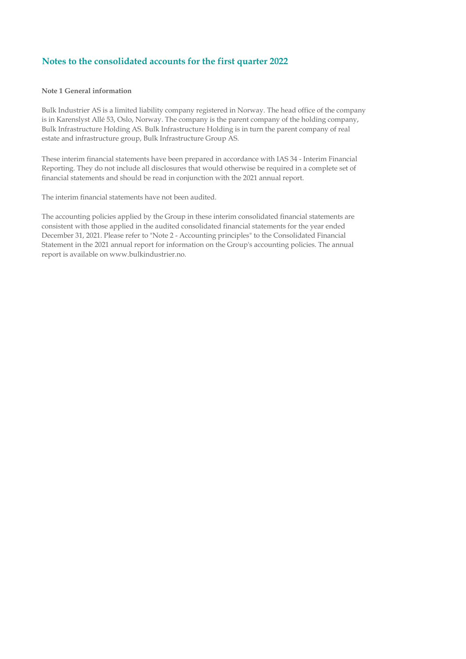### **Note 1 General information**

Bulk Industrier AS is a limited liability company registered in Norway. The head office of the company is in Karenslyst Allé 53, Oslo, Norway. The company is the parent company of the holding company, Bulk Infrastructure Holding AS. Bulk Infrastructure Holding is in turn the parent company of real estate and infrastructure group, Bulk Infrastructure Group AS.

These interim financial statements have been prepared in accordance with IAS 34 - Interim Financial Reporting. They do not include all disclosures that would otherwise be required in a complete set of financial statements and should be read in conjunction with the 2021 annual report.

The interim financial statements have not been audited.

The accounting policies applied by the Group in these interim consolidated financial statements are consistent with those applied in the audited consolidated financial statements for the year ended December 31, 2021. Please refer to "Note 2 - Accounting principles" to the Consolidated Financial Statement in the 2021 annual report for information on the Group's accounting policies. The annual report is available on www.bulkindustrier.no.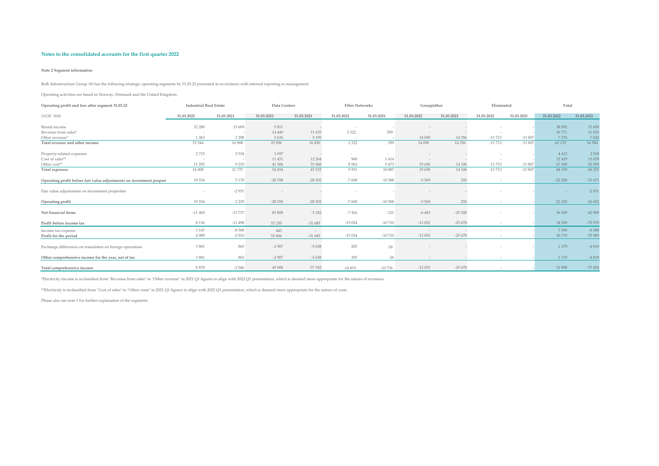#### **Note 2 Segment information**

Bulk Infrastructure Group AS has the following strategic operating segments by 31.03.22 presented in accordance with internal reporting to management

Operating activities are based in Norway, Denmark and the United Kingdom.

| Operating profit and loss after segment 31.03.22                     | <b>Industrial Real Estate</b> |                    | Data Centers |            | <b>Fiber Networks</b> |            | Group/other    |            | Eliminated |            | Total            |                    |
|----------------------------------------------------------------------|-------------------------------|--------------------|--------------|------------|-----------------------|------------|----------------|------------|------------|------------|------------------|--------------------|
| (NOK '000)                                                           | 31.03.2022                    | 31.03.2021         | 31.03.2022   | 31.03.2021 | 31.03.2022            | 31.03.2021 | 31.03.2022     | 31.03.2021 | 31.03.2022 | 31.03.2021 | 31.03.2022       | 31.03.2021         |
| Rental income                                                        | 32 280                        | 15 609             | 5 8 1 1      |            |                       |            |                |            |            |            | 38 092           | 15 609             |
| Revenue from sales*                                                  |                               |                    | 14 4 4 9     | 11 635     | 2 3 2 2               | 299        |                |            |            |            | 16771            | 11 933             |
| Other revenue*                                                       | 1 2 6 3                       | 1 2 9 8            | 5 6 3 6      | 5 1 9 5    |                       |            | 14 090         | 14 3 5 6   | $-13713$   | $-13807$   | 7 2 7 6          | 7042               |
| Total revenue and other income                                       | 33 544                        | 16 908             | 25 896       | 16 8 30    | 2 3 2 2               | 299        | 14 090         | 14 3 5 6   | $-13713$   | $-13807$   | 62 139           | 34 5 84            |
| Property-related expenses                                            | 2715                          | 2 5 1 8            | 1697         |            | $\sim$                | $\sim$     |                |            |            |            | 4 4 1 2          | 2518               |
| Cost of sales**                                                      |                               |                    | 11 451       | 12 264     | 968                   | 1414       | $\overline{a}$ |            | $\sim$     |            | 12 4 19          | 13678              |
| Other cost**                                                         | 11 29 3                       | 9 2 1 9            | 41 30 6      | 33 068     | 8 9 6 2               | 9473       | 19658          | 14 10 6    | $-13713$   | $-13807$   | 67 508           | 52 059             |
| Total expenses                                                       | 14 008                        | 11737              | 54 454       | 45 332     | 9 9 3 1               | 10887      | 19658          | 14 10 6    | $-13713$   | $-13807$   | 84 3 39          | 68 25 5            |
| Operating profit before fair value adjustments on investment properl | 19536                         | 5 1 7 0            | $-28558$     | $-28502$   | $-7608$               | $-10588$   | $-5569$        | 250        |            |            | $-22200$         | $-33671$           |
| Fair value adjustments on investment properties                      |                               | $-2931$            |              |            |                       |            | $\sim$         |            |            |            | $\sim$           | $-2931$            |
| Operating profit                                                     | 19536                         | 2 2 3 9            | $-28558$     | $-28502$   | $-7608$               | $-10588$   | $-5569$        | 250        | $\sim$     |            | $-22200$         | $-36602$           |
| Net financial items                                                  | $-11400$                      | $-13737$           | 81 808       | $-3182$    | $-7416$               | $-121$     | $-6483$        | $-25928$   |            |            | 56 509           | $-42969$           |
| Profit before income tax                                             | 8 1 3 6                       | $-11498$           | 53 250       | $-31685$   | $-15024$              | $-10710$   | $-12052$       | $-25678$   | $\sim$     |            | 34 30 9          | -79 570            |
| Income tax expense                                                   | 3 1 4 7<br>4989               | $-8588$<br>$-2910$ | 443          | $\sim$     | $-15024$              | $-10710$   | $-12052$       | $-25678$   |            |            | 3 5 9 0<br>30719 | $-8588$<br>-70 983 |
| Profit for the period                                                |                               |                    | 52 806       | $-31685$   |                       |            |                |            | $\sim$     |            |                  |                    |
| Exchange differences on translation on foreign operations            | 3881                          | 865                | $-2907$      | $-5658$    | 205                   | $-26$      |                |            |            |            | 1 1 7 9          | $-4819$            |
| Other comprehensive income for the year, net of tax                  | 3881                          | 865                | $-2907$      | $-5658$    | 205                   | $-26$      |                |            | $\sim$     |            | 1 1 7 9          | $-4819$            |
| Total comprehensive income                                           | 8870                          | $-2046$            | 49 900       | $-37342$   | $-14819$              | $-10736$   | $-12052$       | $-25678$   |            |            | 31 898           | $-75802$           |

\*Electricity income is reclassified from "Revenue from sales" to "Other revenue" in 2021 Q1 figures to align with 2022 Q1 presentation, which is deemed more appropriate for the nature of revenues.

\*\*Electricity is reclassified from "Cost of sales" to "Other costs" in 2021 Q1 figures to align with 2022 Q1 presentation, which is deemed more appropriate for the nature of costs.

Please also see note 1 for further explanation of the segments.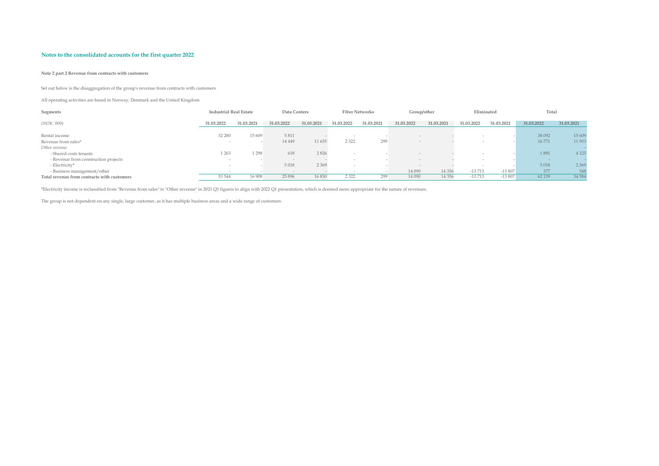#### **Note 2 part 2 Revenue from contracts with customers**

Set out below is the disaggregation of the group's revenue from contracts with customers

All operating activities are based in Norway, Denmark and the United Kingdom.

| Segments                                    | <b>Industrial Real Estate</b> |            | Data Centers |            |                          | <b>Fiber Networks</b> | Group/other |            | Eliminated               |            | Total      |            |
|---------------------------------------------|-------------------------------|------------|--------------|------------|--------------------------|-----------------------|-------------|------------|--------------------------|------------|------------|------------|
| (NOK '000)                                  | 31.03.2022                    | 31.03.2021 | 31.03.2022   | 31.03.2021 | 31.03.2022               | 31.03.2021            | 31.03.2022  | 31.03.2021 | 31.03.2022               | 31.03.2021 | 31.03.2022 | 31.03.2021 |
| Rental income                               | 32 280                        | 15 609     | 5811         |            |                          |                       |             |            |                          |            | 38 092     | 15 609     |
| Revenue from sales*                         |                               |            | 14 4 4 9     | 11 635     | 2 3 2 2                  | 299                   |             |            | $\overline{\phantom{a}}$ |            | 16771      | 11 933     |
| Other revenue                               |                               |            |              |            |                          |                       |             |            |                          |            |            |            |
| - Shared costs tenants                      | 1 263                         | 1 2 9 8    | 618          | 2826       |                          |                       |             |            |                          |            | 1881       | 4 1 2 5    |
| - Revenue from construction projects        | $\overline{\phantom{a}}$      |            | $\sim$       |            | $\overline{\phantom{a}}$ |                       |             |            | $\sim$                   |            | $\sim$     |            |
| - Electricity*                              |                               |            | 5 0 18       | 2 3 6 9    |                          |                       |             |            |                          |            | 5 0 18     | 2 3 6 9    |
| - Business management/other                 |                               |            |              |            |                          |                       | 14 090      | 14 3 5 6   | $-13713$                 | $-13807$   | 377        | 548        |
| Total revenue from contracts with customers | 33 544                        | 16 908     | 25 8 96      | 16 830     | 2 3 2 2                  | 299                   | 14 090      | 14 3 5 6   | $-13713$                 | $-13807$   | 62 139     | 34 584     |

\*Electricity income is reclassified from "Revenue from sales" to "Other revenue" in 2021 Q1 figures to align with 2022 Q1 presentation, which is deemed more appropriate for the nature of revenues.

The group is not dependent on any single, large customer, as it has multiple business areas and a wide range of customers.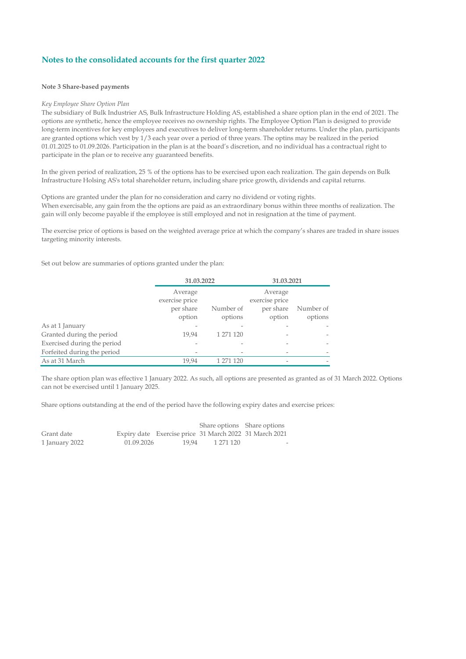#### **Note 3 Share-based payments**

#### *Key Employee Share Option Plan*

The subsidiary of Bulk Industrier AS, Bulk Infrastructure Holding AS, established a share option plan in the end of 2021. The options are synthetic, hence the employee receives no ownership rights. The Employee Option Plan is designed to provide long-term incentives for key employees and executives to deliver long-term shareholder returns. Under the plan, participants are granted options which vest by 1/3 each year over a period of three years. The optins may be realized in the period 01.01.2025 to 01.09.2026. Participation in the plan is at the board's discretion, and no individual has a contractual right to participate in the plan or to receive any guaranteed benefits.

In the given period of realization, 25 % of the options has to be exercised upon each realization. The gain depends on Bulk Infrastructure Holsing AS's total shareholder return, including share price growth, dividends and capital returns.

Options are granted under the plan for no consideration and carry no dividend or voting rights. When exercisable, any gain from the the options are paid as an extraordinary bonus within three months of realization. The gain will only become payable if the employee is still employed and not in resignation at the time of payment.

The exercise price of options is based on the weighted average price at which the company's shares are traded in share issues targeting minority interests.

Set out below are summaries of options granted under the plan:

|                             | 31.03.2022                |           | 31.03.2021                |           |  |
|-----------------------------|---------------------------|-----------|---------------------------|-----------|--|
|                             | Average<br>exercise price |           | Average<br>exercise price |           |  |
|                             | per share                 | Number of | per share                 | Number of |  |
|                             | option                    | options   | option                    | options   |  |
| As at 1 January             |                           |           |                           |           |  |
| Granted during the period   | 19.94                     | 1 271 120 |                           |           |  |
| Exercised during the period |                           |           |                           |           |  |
| Forfeited during the period |                           |           |                           |           |  |
| As at 31 March              | 19.94                     | 1 271 120 |                           |           |  |

The share option plan was effective 1 January 2022. As such, all options are presented as granted as of 31 March 2022. Options can not be exercised until 1 January 2025.

Share options outstanding at the end of the period have the following expiry dates and exercise prices:

|                |            |       | Share options Share options |                                                        |
|----------------|------------|-------|-----------------------------|--------------------------------------------------------|
| Grant date     |            |       |                             | Expiry date Exercise price 31 March 2022 31 March 2021 |
| 1 January 2022 | 01.09.2026 | 19.94 | 1 271 120                   | $\overline{\phantom{a}}$                               |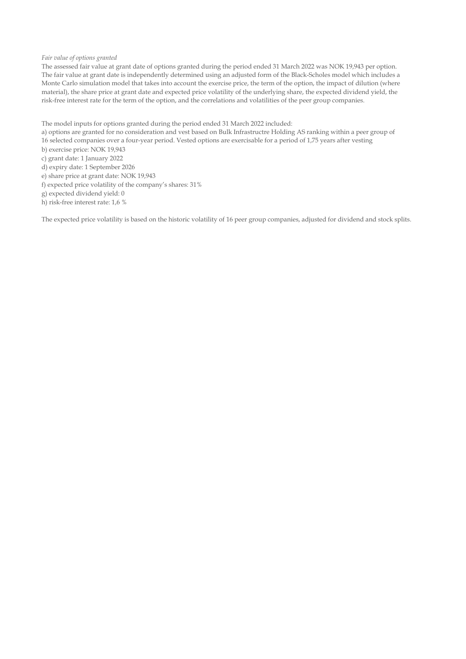#### *Fair value of options granted*

The assessed fair value at grant date of options granted during the period ended 31 March 2022 was NOK 19,943 per option. The fair value at grant date is independently determined using an adjusted form of the Black-Scholes model which includes a Monte Carlo simulation model that takes into account the exercise price, the term of the option, the impact of dilution (where material), the share price at grant date and expected price volatility of the underlying share, the expected dividend yield, the risk-free interest rate for the term of the option, and the correlations and volatilities of the peer group companies.

The model inputs for options granted during the period ended 31 March 2022 included:

a) options are granted for no consideration and vest based on Bulk Infrastructre Holding AS ranking within a peer group of

- 16 selected companies over a four-year period. Vested options are exercisable for a period of 1,75 years after vesting
- b) exercise price: NOK 19,943
- c) grant date: 1 January 2022 d) expiry date: 1 September 2026
- e) share price at grant date: NOK 19,943
- f) expected price volatility of the company's shares: 31%
- g) expected dividend yield: 0
- h) risk-free interest rate: 1,6 %

The expected price volatility is based on the historic volatility of 16 peer group companies, adjusted for dividend and stock splits.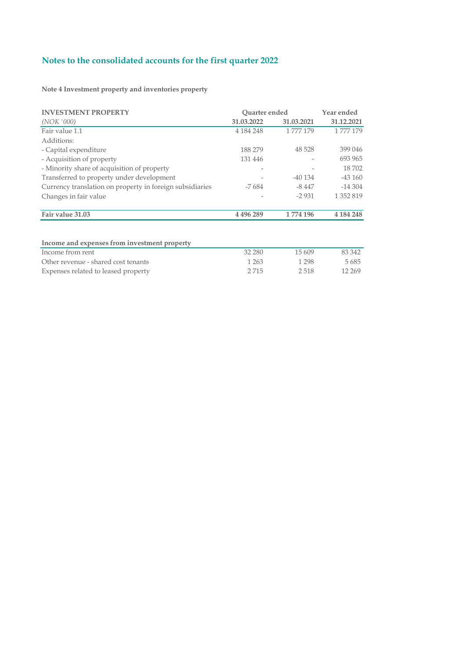**Note 4 Investment property and inventories property**

| <b>INVESTMENT PROPERTY</b>                               | <b>Ouarter</b> ended |            | Year ended |
|----------------------------------------------------------|----------------------|------------|------------|
| (NOK '000)                                               | 31.03.2022           | 31.03.2021 | 31.12.2021 |
| Fair value 1.1                                           | 4 184 248            | 1 777 179  | 1777179    |
| Additions:                                               |                      |            |            |
| - Capital expenditure                                    | 188 279              | 48 5 28    | 399 046    |
| - Acquisition of property                                | 131 446              |            | 693 965    |
| - Minority share of acquisition of property              | $\qquad \qquad -$    |            | 18702      |
| Transferred to property under development                |                      | $-40134$   | $-43160$   |
| Currency translation on property in foreign subsidiaries | -7684                | -8 447     | $-14304$   |
| Changes in fair value                                    |                      | $-2931$    | 1 352 819  |
| Fair value 31.03                                         | 4 4 9 6 2 8 9        | 1774 196   | 4 184 248  |
|                                                          |                      |            |            |
| Income and expenses from investment property             |                      |            |            |
| Income from rent                                         | 32 280               | 15 609     | 83 342     |
| Other revenue - shared cost tenants                      | 1 2 6 3              | 1 2 9 8    | 5685       |
| Expenses related to leased property                      | 2715                 | 2518       | 12 2 6 9   |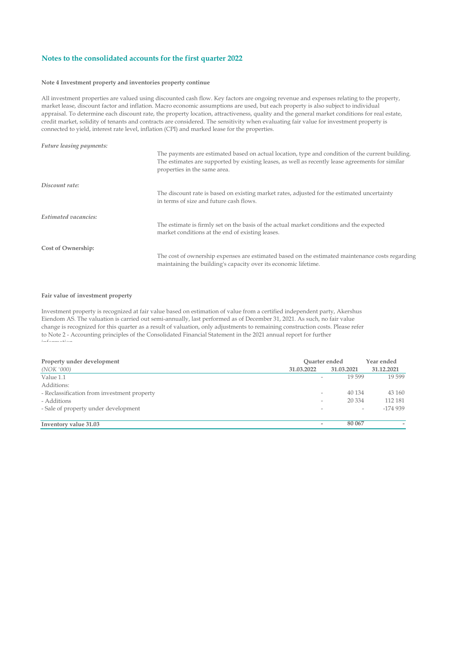#### **Note 4 Investment property and inventories property continue**

All investment properties are valued using discounted cash flow. Key factors are ongoing revenue and expenses relating to the property, market lease, discount factor and inflation. Macro economic assumptions are used, but each property is also subject to individual appraisal. To determine each discount rate, the property location, attractiveness, quality and the general market conditions for real estate, credit market, solidity of tenants and contracts are considered. The sensitivity when evaluating fair value for investment property is connected to yield, interest rate level, inflation (CPI) and marked lease for the properties.

| <b>Future leasing payments:</b> |                                                                                                                                                                                                                                      |
|---------------------------------|--------------------------------------------------------------------------------------------------------------------------------------------------------------------------------------------------------------------------------------|
|                                 | The payments are estimated based on actual location, type and condition of the current building.<br>The estimates are supported by existing leases, as well as recently lease agreements for similar<br>properties in the same area. |
| Discount rate:                  |                                                                                                                                                                                                                                      |
|                                 | The discount rate is based on existing market rates, adjusted for the estimated uncertainty<br>in terms of size and future cash flows.                                                                                               |
| Estimated vacancies:            |                                                                                                                                                                                                                                      |
|                                 | The estimate is firmly set on the basis of the actual market conditions and the expected<br>market conditions at the end of existing leases.                                                                                         |
| Cost of Ownership:              |                                                                                                                                                                                                                                      |
|                                 | The cost of ownership expenses are estimated based on the estimated maintenance costs regarding<br>maintaining the building's capacity over its economic lifetime.                                                                   |

#### **Fair value of investment property**

Investment property is recognized at fair value based on estimation of value from a certified independent party, Akershus Eiendom AS. The valuation is carried out semi-annually, last performed as of December 31, 2021. As such, no fair value change is recognized for this quarter as a result of valuation, only adjustments to remaining construction costs. Please refer to Note 2 - Accounting principles of the Consolidated Financial Statement in the 2021 annual report for further  $i = c$  .

| Property under development                  | Ouarter ended            |            | Year ended |
|---------------------------------------------|--------------------------|------------|------------|
| (NOK '000)                                  | 31.03.2022               | 31.03.2021 | 31.12.2021 |
| Value 1.1                                   | $\overline{\phantom{a}}$ | 19599      | 19 599     |
| Additions:                                  |                          |            |            |
| - Reclassification from investment property | $\overline{\phantom{a}}$ | 40 1 34    | 43 160     |
| - Additions                                 | $\overline{\phantom{a}}$ | 20 3 34    | 112 181    |
| - Sale of property under development        |                          |            | $-174939$  |
|                                             |                          |            |            |
| Inventory value 31.03                       | -                        | 80 067     |            |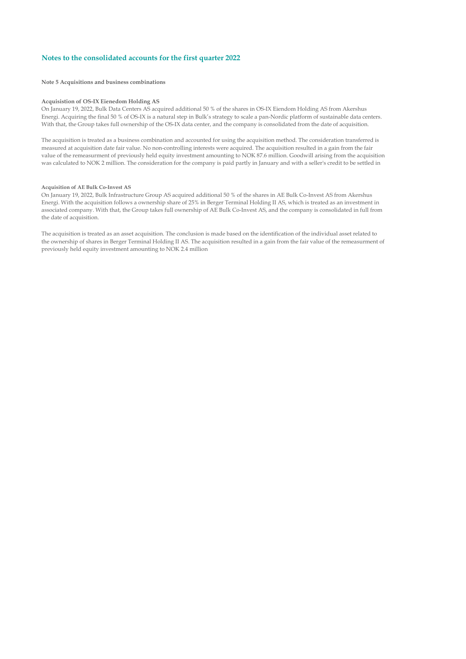**Note 5 Acquisitions and business combinations**

#### **Acquisistion of OS-IX Eienedom Holding AS**

On January 19, 2022, Bulk Data Centers AS acquired additional 50 % of the shares in OS-IX Eiendom Holding AS from Akershus Energi. Acquiring the final 50 % of OS-IX is a natural step in Bulk's strategy to scale a pan-Nordic platform of sustainable data centers. With that, the Group takes full ownership of the OS-IX data center, and the company is consolidated from the date of acquisition.

The acquisition is treated as a business combination and accounted for using the acquisition method. The consideration transferred is measured at acquisition date fair value. No non-controlling interests were acquired. The acquisition resulted in a gain from the fair value of the remeasurment of previously held equity investment amounting to NOK 87.6 million. Goodwill arising from the acquisition was calculated to NOK 2 million. The consideration for the company is paid partly in January and with a seller's credit to be settled in

#### **Acquisition of AE Bulk Co-Invest AS**

On January 19, 2022, Bulk Infrastructure Group AS acquired additional 50 % of the shares in AE Bulk Co-Invest AS from Akershus Energi. With the acquisition follows a ownership share of 25% in Berger Terminal Holding II AS, which is treated as an investment in associated company. With that, the Group takes full ownership of AE Bulk Co-Invest AS, and the company is consolidated in full from the date of acquisition.

The acquisition is treated as an asset acquisition. The conclusion is made based on the identification of the individual asset related to the ownership of shares in Berger Terminal Holding II AS. The acquisition resulted in a gain from the fair value of the remeasurment of previously held equity investment amounting to NOK 2.4 million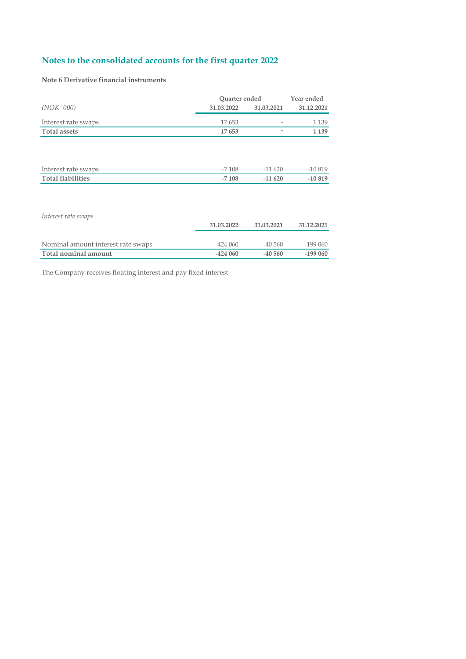**Note 6 Derivative financial instruments**

|                                    | Quarter ended | Year ended |            |
|------------------------------------|---------------|------------|------------|
| (NOK '000)                         | 31.03.2022    | 31.03.2021 | 31.12.2021 |
| Interest rate swaps                | 17653         |            | 1 1 3 9    |
| <b>Total assets</b>                | 17653         | ۰          | 1 1 3 9    |
|                                    |               |            |            |
|                                    |               |            |            |
|                                    |               |            |            |
| Interest rate swaps                | $-7108$       | $-11620$   | $-10819$   |
| <b>Total liabilities</b>           | $-7108$       | $-11620$   | $-10819$   |
|                                    |               |            |            |
|                                    |               |            |            |
|                                    |               |            |            |
| Interest rate swaps                |               |            |            |
|                                    | 31.03.2022    | 31.03.2021 | 31.12.2021 |
|                                    |               |            |            |
| Nominal amount interest rate swaps | $-424060$     | $-40560$   | $-199060$  |
| Total nominal amount               | $-424060$     | $-40,560$  | $-199060$  |

The Company receives floating interest and pay fixed interest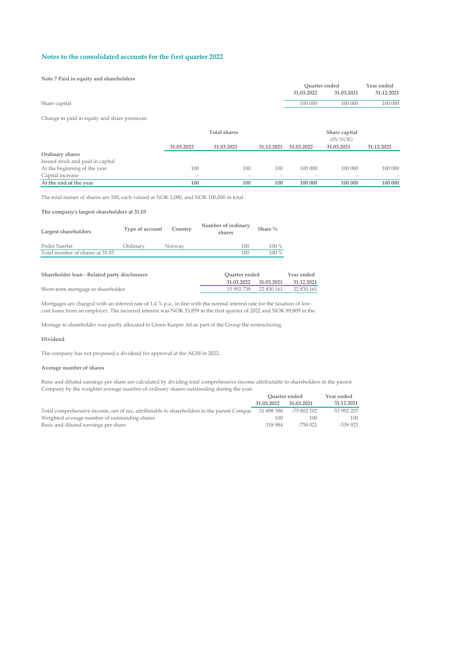#### **Note 7 Paid in equity and shareholders**

|               | Ouarter ended |            | Year ended |
|---------------|---------------|------------|------------|
|               | 31.03.2022    | 31.03.2021 | 31.12.2021 |
| Share capital | 100 000       | 100 000    | 100 000    |
|               |               |            |            |

#### Change in paid in equity and share premium:

|                                  | <b>Total shares</b> |            |            | Share capital<br>(IN NOK) |            |            |  |
|----------------------------------|---------------------|------------|------------|---------------------------|------------|------------|--|
|                                  | 31.03.2022          | 31.03.2021 | 31.12.2021 | 31.03.2022                | 31.03.2021 | 31.12.2021 |  |
| Ordinary shares                  |                     |            |            |                           |            |            |  |
| Issued stock and paid in capital |                     |            |            |                           |            |            |  |
| At the beginning of the year     | 100                 | 100        | 100        | 100 000                   | 100 000    | 100 000    |  |
| Capital increase                 | $\sim$              |            | $\sim$     | $\overline{\phantom{a}}$  |            |            |  |
| At the end of the year           | 100                 | 100        | 100        | 100 000                   | 100 000    | 100 000    |  |

The total numer of shares are 100, each valued at NOK 1,000, and NOK 100,000 in total.

#### **The company's largest shareholders at 31.03**

| Largest shareholders            | Type of account | Country | Number of ordinary<br>shares | Share $\%$ |
|---------------------------------|-----------------|---------|------------------------------|------------|
| Peder Nærbø                     | Ordinarv        | Norway  | 100                          | $100\%$    |
| Total number of shares at 31.03 |                 |         | 100                          | $100\%$    |

| Shareholder loan - Related party disclosures | Ouarter ended            | Year ended |
|----------------------------------------------|--------------------------|------------|
|                                              | 31.03.2021<br>31.03.2022 | 31.12.2021 |
| Short-term mortgage to shareholder           | 15 992 739 22 830 161    | 22 830 161 |

Mortgages are charged with an interest rate of 1.4 % p.a., in line with the normal interest rate for the taxation of lowcost loans from an employer. The incurred interest was NOK 53,859 in the first quarter of 2022 and NOK 89,809 in the

Mortage to shareholder was partly allocated to Green Keeper AS as part of the Group the restructuring.

#### **Dividend**

The company has not proposed a dividend for approval at the AGM in 2022.

#### **Average number of shares**

Basic and diluted earnings per share are calculated by dividing total comprehensive income attributable to shareholders in the parent Company by the weightet average number of ordinary shares outstanding during the year. **Year ended Quarter ended**

|                                                                                           | Ouarter ended |             | rear ended  |
|-------------------------------------------------------------------------------------------|---------------|-------------|-------------|
|                                                                                           | 31.03.2022    | 31.03.2021  | 31.12.2021  |
| Total comprehensive income, net of tax, attributable to shareholders in the parent Compar | 31 898 388    | -75 802 102 | -53 992 257 |
| Weighted average number of outstanding shares                                             | 100           | 100         | 100         |
| Basic and diluted earnings per share                                                      | 318 984       | -758 021    | $-539923$   |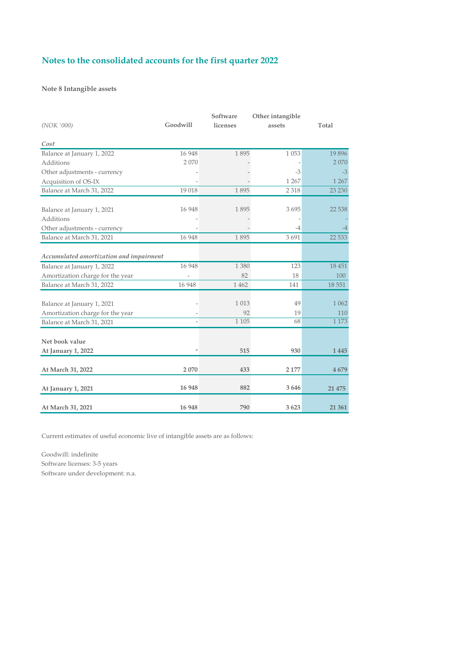### **Note 8 Intangible assets**

| (NOK'000)                                                      | Goodwill | Software<br>licenses | Other intangible<br>assets | Total          |
|----------------------------------------------------------------|----------|----------------------|----------------------------|----------------|
| Cost                                                           |          |                      |                            |                |
| Balance at January 1, 2022                                     | 16 9 48  | 1895                 | 1 0 5 3                    | 19896          |
| Additions                                                      | 2070     |                      |                            | 2070           |
| Other adjustments - currency                                   |          |                      | $-3$                       | $-3$           |
| Acquisition of OS-IX                                           |          |                      | 1 2 6 7                    | 1 2 6 7        |
| Balance at March 31, 2022                                      | 19 018   | 1895                 | 2 3 1 8                    | 23 230         |
| Balance at January 1, 2021                                     | 16 948   | 1895                 | 3695                       | 22 5 38        |
| Additions                                                      |          |                      |                            |                |
| Other adjustments - currency                                   |          |                      | -4                         |                |
| Balance at March 31, 2021                                      | 16 948   | 1895                 | 3 6 9 1                    | 22 5 33        |
| Accumulated amortization and impairment                        |          |                      |                            |                |
| Balance at January 1, 2022                                     | 16 948   | 1 3 8 0              | 123                        | 18 451         |
| Amortization charge for the year                               |          | 82                   | 18                         | 100            |
| Balance at March 31, 2022                                      | 16 948   | 1 4 6 2              | 141                        | 18 5 5 1       |
| Balance at January 1, 2021<br>Amortization charge for the year |          | 1 0 1 3<br>92        | 49<br>19                   | 1 0 6 2<br>110 |
| Balance at March 31, 2021                                      |          | 1 1 0 5              | 68                         | 1 1 7 3        |
| Net book value                                                 |          |                      |                            |                |
| At January 1, 2022                                             |          | 515                  | 930                        | 1445           |
|                                                                |          |                      |                            |                |
| At March 31, 2022                                              | 2070     | 433                  | 2 177                      | 4679           |
| At January 1, 2021                                             | 16 948   | 882                  | 3646                       | 21 475         |
| At March 31, 2021                                              | 16 948   | 790                  | 3623                       | 21 361         |

Current estimates of useful economic live of intangible assets are as follows:

Goodwill: indefinite Software licenses: 3-5 years Software under development: n.a.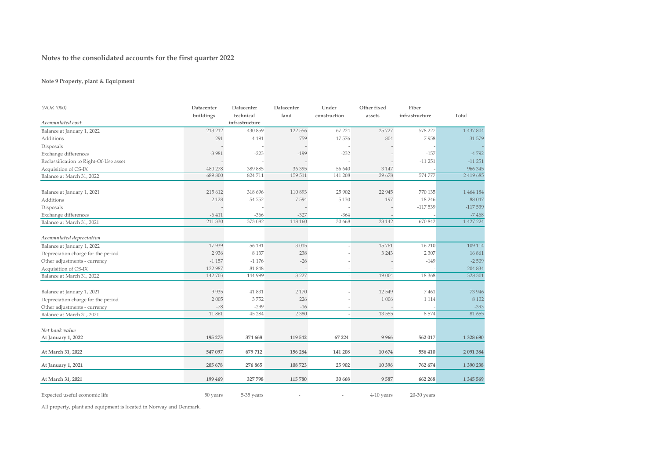### **Note 9 Property, plant & Equipment**

| (NOK '000)                             | Datacenter         | Datacenter                  | Datacenter         | Under                    | Other fixed       | Fiber          |                         |
|----------------------------------------|--------------------|-----------------------------|--------------------|--------------------------|-------------------|----------------|-------------------------|
| Accumulated cost                       | buildings          | technical<br>infrastructure | land               | construction             | assets            | infrastructure | Total                   |
| Balance at January 1, 2022             | 213 212            | 430 859                     | 122 556            | 67 224                   | 25 7 27           | 578 227        | 1 437 804               |
| Additions                              | 291                | 4 1 9 1                     | 759                | 17576                    | 804               | 7958           | 31 579                  |
|                                        |                    |                             |                    |                          |                   |                |                         |
| Disposals                              |                    |                             | $-199$             |                          |                   |                |                         |
| Exchange differences                   | $-3981$            | $-223$                      |                    | $-232$                   |                   | $-157$         | -4 792<br>$-11251$      |
| Reclassification to Right-Of-Use asset |                    |                             |                    |                          |                   | $-11251$       |                         |
| Acquisition of OS-IX                   | 480 278<br>689 800 | 389 885<br>824 711          | 36 39 5<br>159 511 | 56 640<br>141 208        | 3 1 4 7<br>29 678 | 574 777        | 966 345<br>2 4 19 6 8 5 |
| Balance at March 31, 2022              |                    |                             |                    |                          |                   |                |                         |
| Balance at January 1, 2021             | 215 612            | 318 696                     | 110 893            | 25 902                   | 22 9 45           | 770 135        | 1 464 184               |
| Additions                              | 2 1 2 8            | 54 752                      | 7594               | 5 1 3 0                  | 197               | 18 24 6        | 88 047                  |
| Disposals                              |                    |                             |                    |                          |                   | $-117539$      | $-117539$               |
| Exchange differences                   | $-6411$            | $-366$                      | $-327$             | $-364$                   |                   |                | $-7468$                 |
| Balance at March 31, 2021              | 211 330            | 373 082                     | 118 160            | 30 668                   | 23 142            | 670 842        | 1 427 224               |
| Accumulated depreciation               |                    |                             |                    |                          |                   |                |                         |
| Balance at January 1, 2022             | 17939              | 56 191                      | 3 0 1 5            |                          | 15761             | 16 210         | 109 114                 |
| Depreciation charge for the period     | 2936               | 8 1 3 7                     | 238                |                          | 3 2 4 3           | 2 3 0 7        | 16861                   |
| Other adjustments - currency           | $-1157$            | $-1176$                     | $-26$              |                          |                   | $-149$         | $-2509$                 |
| Acquisition of OS-IX                   | 122 987            | 81 848                      |                    |                          |                   |                | 204 834                 |
| Balance at March 31, 2022              | 142 703            | 144 999                     | 3 2 2 7            | $\overline{\phantom{a}}$ | 19 004            | 18 3 68        | 328 301                 |
| Balance at January 1, 2021             | 9 9 3 5            | 41 831                      | 2 1 7 0            |                          | 12 5 49           | 7461           | 73 946                  |
| Depreciation charge for the period     | 2 0 0 5            | 3752                        | 226                |                          | 1 0 0 6           | 1 1 1 4        | 8 1 0 2                 |
| Other adjustments - currency           | $-78$              | $-299$                      | $-16$              |                          |                   |                | $-393$                  |
| Balance at March 31, 2021              | 11861              | 45 28 4                     | 2 3 8 0            | $\overline{\phantom{a}}$ | 13 5 5 5          | 8574           | 81 655                  |
|                                        |                    |                             |                    |                          |                   |                |                         |
| Net book value                         |                    |                             |                    |                          |                   |                |                         |
| At January 1, 2022                     | 195 273            | 374 668                     | 119 542            | 67 224                   | 9 9 6 6           | 562 017        | 1 328 690               |
| At March 31, 2022                      | 547 097            | 679 712                     | 156 284            | 141 208                  | 10 674            | 556 410        | 2 091 384               |
| At January 1, 2021                     | 205 678            | 276 865                     | 108 723            | 25 902                   | 10 39 6           | 762 674        | 1 390 238               |
| At March 31, 2021                      | 199 469            | 327 798                     | 115 780            | 30 668                   | 9587              | 662 268        | 1 3 4 5 5 6 9           |

Expected useful economic life 50 years 5-35 years - - 4-10 years 20-30 years

All property, plant and equipment is located in Norway and Denmark.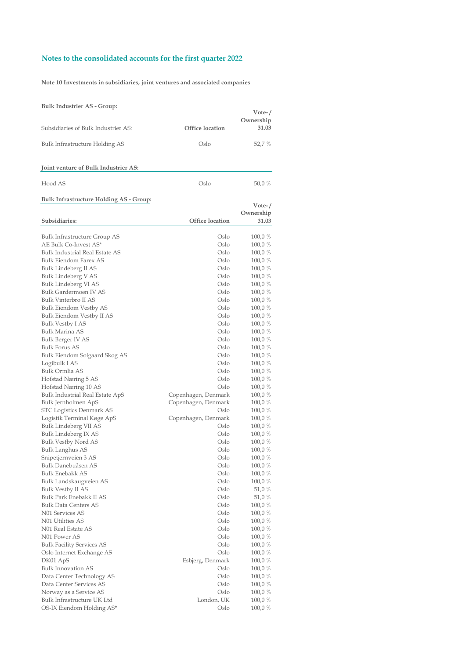**Note 10 Investments in subsidiaries, joint ventures and associated companies**

### **Bulk Industrier AS - Group:**

|                                                       |                             | Vote-/            |
|-------------------------------------------------------|-----------------------------|-------------------|
|                                                       |                             | Ownership         |
| Subsidiaries of Bulk Industrier AS:                   | Office location             | 31.03             |
| Bulk Infrastructure Holding AS                        | Oslo                        | 52,7 %            |
|                                                       |                             |                   |
| Joint venture of Bulk Industrier AS:                  |                             |                   |
| Hood AS                                               | Oslo                        | 50,0 %            |
|                                                       |                             |                   |
| <b>Bulk Infrastructure Holding AS - Group:</b>        |                             | $Vote-$ /         |
|                                                       |                             | Ownership         |
| Subsidiaries:                                         | Office location             | 31.03             |
|                                                       | Oslo                        |                   |
| Bulk Infrastructure Group AS<br>AE Bulk Co-Invest AS* | Oslo                        | 100,0%            |
| <b>Bulk Industrial Real Estate AS</b>                 | Oslo                        | 100,0%            |
| Bulk Eiendom Farex AS                                 | Oslo                        | 100,0 %           |
| Bulk Lindeberg II AS                                  | Oslo                        | 100,0 %<br>100,0% |
| Bulk Lindeberg V AS                                   | Oslo                        |                   |
| Bulk Lindeberg VI AS                                  | Oslo                        | 100,0%<br>100,0 % |
| <b>Bulk Gardermoen IV AS</b>                          | Oslo                        |                   |
| Bulk Vinterbro II AS                                  | Oslo                        | 100,0%            |
| Bulk Eiendom Vestby AS                                | Oslo                        | 100,0%            |
|                                                       | Oslo                        | 100,0%            |
| Bulk Eiendom Vestby II AS                             | Oslo                        | 100,0 %           |
| Bulk Vestby I AS<br>Bulk Marina AS                    | Oslo                        | 100,0%            |
|                                                       | Oslo                        | 100,0%            |
| Bulk Berger IV AS                                     | Oslo                        | 100,0 %           |
| <b>Bulk Forus AS</b>                                  | Oslo                        | 100,0%            |
| Bulk Eiendom Solgaard Skog AS                         |                             | 100,0%            |
| Logibulk I AS<br>Bulk Ormlia AS                       | Oslo                        | 100,0 %           |
|                                                       | Oslo<br>Oslo                | 100,0 %           |
| Hofstad Næring 5 AS                                   |                             | 100,0%            |
| Hofstad Næring 10 AS                                  | Oslo                        | 100,0%            |
| Bulk Industrial Real Estate ApS                       | Copenhagen, Denmark         | 100,0%            |
| Bulk Jernholmen ApS                                   | Copenhagen, Denmark<br>Oslo | 100,0%            |
| STC Logistics Denmark AS                              | Copenhagen, Denmark         | 100,0%<br>100,0 % |
| Logistik Terminal Køge ApS                            | Oslo                        |                   |
| Bulk Lindeberg VII AS                                 | Oslo                        | 100,0 %           |
| Bulk Lindeberg IX AS                                  | Oslo                        | 100,0 %           |
| <b>Bulk Vestby Nord AS</b>                            |                             | 100,0%            |
| Bulk Langhus AS                                       | Oslo                        | 100,0%            |
| Snipetjernveien 3 AS<br>Bulk Danebuåsen AS            | Oslo                        | 100,0 %           |
|                                                       | Oslo                        | 100,0 %           |
| Bulk Enebakk AS                                       | Oslo                        | 100,0 %           |
| Bulk Landskaugveien AS                                | Oslo                        | 100,0 %           |
| Bulk Vestby II AS                                     | Oslo                        | 51,0 %            |
| Bulk Park Enebakk II AS                               | Oslo                        | 51,0 %            |
| <b>Bulk Data Centers AS</b>                           | Oslo                        | 100,0 %           |
| N01 Services AS                                       | Oslo                        | 100,0 %           |
| N01 Utilities AS                                      | Oslo                        | 100,0 %           |
| N01 Real Estate AS                                    | Oslo                        | 100,0 %           |
| N01 Power AS                                          | Oslo                        | 100,0 %           |
| <b>Bulk Facility Services AS</b>                      | Oslo                        | 100,0 %           |
| Oslo Internet Exchange AS                             | Oslo                        | 100,0%            |
| DK01 ApS                                              | Esbjerg, Denmark            | 100,0 %           |
| <b>Bulk Innovation AS</b>                             | Oslo                        | 100,0 %           |
| Data Center Technology AS                             | Oslo                        | 100,0 %           |
| Data Center Services AS                               | Oslo                        | 100,0 %           |
| Norway as a Service AS                                | Oslo                        | 100,0%            |
| Bulk Infrastructure UK Ltd                            | London, UK                  | 100,0 %           |
| OS-IX Eiendom Holding AS*                             | Oslo                        | 100,0 %           |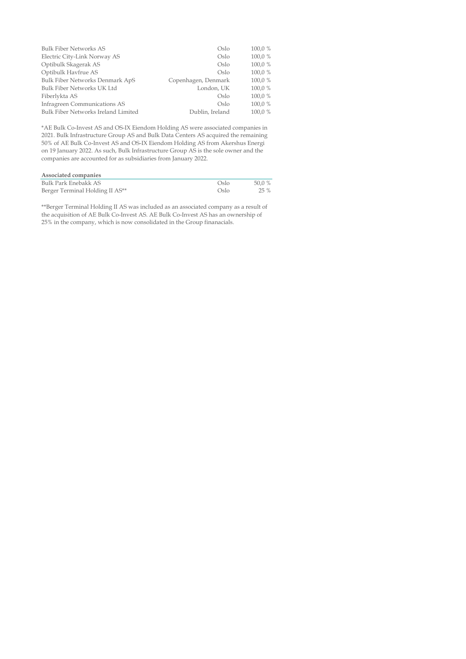| <b>Bulk Fiber Networks AS</b>       | Oslo                | 100,0 % |
|-------------------------------------|---------------------|---------|
| Electric City-Link Norway AS        | Oslo                | 100,0 % |
| Optibulk Skagerak AS                | Oslo                | 100,0 % |
| Optibulk Havfrue AS                 | Oslo                | 100,0 % |
| Bulk Fiber Networks Denmark ApS     | Copenhagen, Denmark | 100,0 % |
| Bulk Fiber Networks UK Ltd          | London, UK          | 100,0 % |
| Fiberlykta AS                       | Oslo                | 100,0 % |
| Infragreen Communications AS        | Oslo                | 100,0 % |
| Bulk Fiber Networks Ireland Limited | Dublin, Ireland     | 100.0 % |

\*AE Bulk Co-Invest AS and OS-IX Eiendom Holding AS were associated companies in 2021. Bulk Infrastructure Group AS and Bulk Data Centers AS acquired the remaining 50% of AE Bulk Co-Invest AS and OS-IX Eiendom Holding AS from Akershus Energi on 19 January 2022. As such, Bulk Infrastructure Group AS is the sole owner and the companies are accounted for as subsidiaries from January 2022.

| Associated companies            |      |        |
|---------------------------------|------|--------|
| Bulk Park Enebakk AS            | Oslo | 50.0 % |
| Berger Terminal Holding II AS** | Oslo | 25 %   |

\*\*Berger Terminal Holding II AS was included as an associated company as a result of the acquisition of AE Bulk Co-Invest AS. AE Bulk Co-Invest AS has an ownership of 25% in the company, which is now consolidated in the Group finanacials.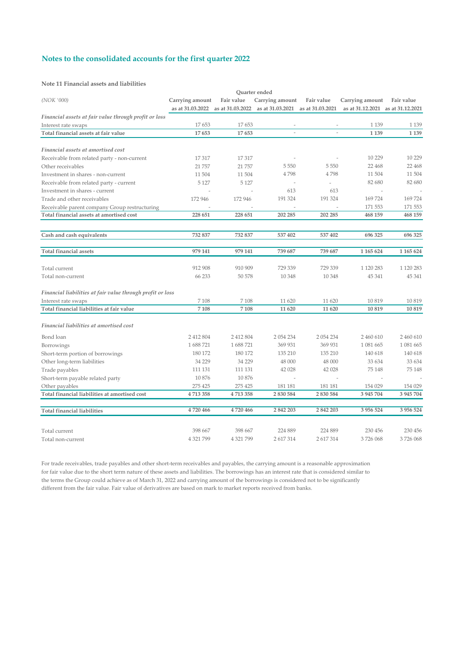#### **Note 11 Financial assets and liabilities**

|                                                            |                  |            | Ouarter ended                                      |                          |                                   |               |
|------------------------------------------------------------|------------------|------------|----------------------------------------------------|--------------------------|-----------------------------------|---------------|
| (NOK '000)                                                 | Carrying amount  | Fair value | Carrying amount                                    | Fair value               | Carrying amount                   | Fair value    |
|                                                            | as at 31.03.2022 |            | as at 31.03.2022 as at 31.03.2021 as at 31.03.2021 |                          | as at 31.12.2021 as at 31.12.2021 |               |
| Financial assets at fair value through profit or loss      |                  |            |                                                    |                          |                                   |               |
| Interest rate swaps                                        | 17653            | 17653      |                                                    |                          | 1 1 3 9                           | 1 1 3 9       |
| Total financial assets at fair value                       | 17653            | 17653      |                                                    |                          | 1 1 3 9                           | 1 1 3 9       |
|                                                            |                  |            |                                                    |                          |                                   |               |
| Financial assets at amortised cost                         |                  |            |                                                    |                          |                                   |               |
| Receivable from related party - non-current                | 17317            | 17317      |                                                    |                          | 10 229                            | 10 229        |
| Other receivables                                          | 21 757           | 21 757     | 5 5 5 0                                            | 5 5 5 0                  | 22 468                            | 22 468        |
| Investment in shares - non-current                         | 11 504           | 11 504     | 4798                                               | 4798                     | 11 504                            | 11 504        |
| Receivable from related party - current                    | 5 1 2 7          | 5 1 2 7    | ÷,                                                 | $\overline{\phantom{a}}$ | 82 680                            | 82 680        |
| Investment in shares - current                             |                  |            | 613                                                | 613                      |                                   |               |
| Trade and other receivables                                | 172 946          | 172 946    | 191 324                                            | 191 324                  | 169724                            | 169724        |
| Receivable parent company Group restructuring              |                  |            |                                                    |                          | 171 553                           | 171 553       |
| Total financial assets at amortised cost                   | 228 651          | 228 651    | 202 285                                            | 202 285                  | 468 159                           | 468 159       |
|                                                            |                  |            |                                                    |                          |                                   |               |
| Cash and cash equivalents                                  | 732 837          | 732 837    | 537 402                                            | 537 402                  | 696 325                           | 696 325       |
|                                                            |                  |            |                                                    |                          |                                   |               |
| <b>Total financial assets</b>                              | 979 141          | 979 141    | 739 687                                            | 739 687                  | 1 165 624                         | 1 165 624     |
|                                                            |                  |            |                                                    |                          |                                   |               |
| Total current                                              | 912 908          | 910 909    | 729 339                                            | 729 339                  | 1 1 2 0 2 8 3                     | 1 1 2 0 2 8 3 |
| Total non-current                                          | 66 233           | 50 578     | 10 348                                             | 10 348                   | 45 341                            | 45 341        |
|                                                            |                  |            |                                                    |                          |                                   |               |
| Financial liabilities at fair value through profit or loss |                  |            |                                                    |                          |                                   |               |
| Interest rate swaps                                        | 7 1 0 8          | 7 1 0 8    | 11 620                                             | 11 620                   | 10819                             | 10819         |
| Total financial liabilities at fair value                  | 7 1 0 8          | 7 1 0 8    | 11 620                                             | 11 620                   | 10819                             | 10819         |
|                                                            |                  |            |                                                    |                          |                                   |               |
| Financial liabilities at amortised cost                    |                  |            |                                                    |                          |                                   |               |
| Bond loan                                                  | 2 412 804        | 2 412 804  | 2 054 234                                          | 2 054 234                | 2 460 610                         | 2 460 610     |
|                                                            | 1688721          | 1 688 721  | 369 931                                            | 369 931                  | 1 081 665                         | 1 081 665     |
| Borrowings                                                 | 180 172          | 180 172    | 135 210                                            | 135 210                  | 140 618                           | 140 618       |
| Short-term portion of borrowings                           | 34 229           | 34 229     | 48 000                                             | 48 000                   | 33 634                            | 33 634        |
| Other long-term liabilities                                |                  |            |                                                    |                          |                                   |               |
| Trade payables                                             | 111 131          | 111 131    | 42 028                                             | 42 028                   | 75 148                            | 75 148        |
| Short-term payable related party                           | 10 876           | 10876      |                                                    |                          |                                   |               |
| Other payables                                             | 275 425          | 275 425    | 181 181                                            | 181 181                  | 154 029                           | 154 029       |
| Total financial liabilities at amortised cost              | 4713358          | 4713358    | 2 830 584                                          | 2 830 584                | 3 945 704                         | 3 945 704     |
| <b>Total financial liabilities</b>                         | 4720466          | 4720466    | 2 842 203                                          | 2 842 203                | 3 956 524                         | 3 956 524     |
| Total current                                              | 398 667          | 398 667    | 224 889                                            | 224 889                  | 230 456                           | 230 456       |
| Total non-current                                          | 4 321 799        | 4 321 799  | 2 617 314                                          | 2 617 314                | 3726068                           | 3726068       |
|                                                            |                  |            |                                                    |                          |                                   |               |

For trade receivables, trade payables and other short-term receivables and payables, the carrying amount is a reasonable approximation for fair value due to the short term nature of these assets and liabilities. The borrowings has an interest rate that is considered similar to the terms the Group could achieve as of March 31, 2022 and carrying amount of the borrowings is considered not to be significantly different from the fair value. Fair value of derivatives are based on mark to market reports received from banks.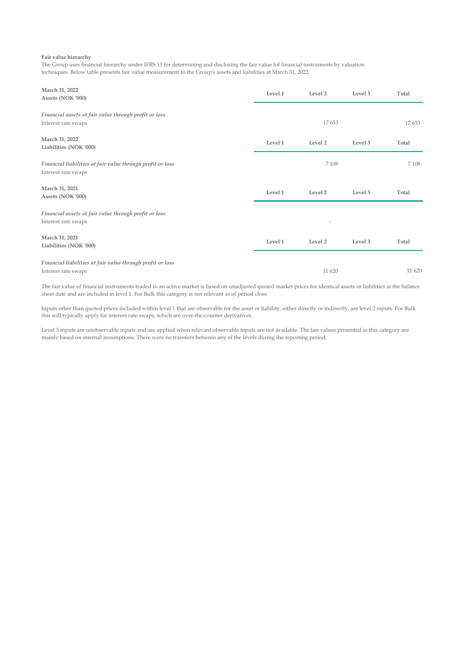#### **Fair value hierarchy**

The Group uses financial hierarchy under IFRS 13 for determining and disclosing the fair value fof financial instruments by valuation techniques. Below table presents fair value measurement to the Group's assets and liabilities at March 31, 2022.

| March 31, 2022<br>Assets (NOK '000)                                               | Level 1 | Level 2            | Level 3 | Total |
|-----------------------------------------------------------------------------------|---------|--------------------|---------|-------|
| Financial assets at fair value through profit or loss<br>Interest rate swaps      |         | 17653              |         |       |
| March 31, 2022<br>Liabilities (NOK '000)                                          | Level 1 | Level 2            | Level 3 | Total |
| Financial liabilities at fair value through profit or loss<br>Interest rate swaps |         | 7 1 0 8            |         |       |
| March 31, 2021<br>Assets (NOK '000)                                               | Level 1 | Level <sub>2</sub> | Level 3 | Total |
| Financial assets at fair value through profit or loss<br>Interest rate swaps      |         |                    |         |       |
| March 31, 2021<br>Liabilities (NOK '000)                                          | Level 1 | Level 2            | Level 3 | Total |
| Financial liabilities at fair value through profit or loss<br>Interest rate swaps |         | 11 620             |         |       |

The fair value of financial instruments traded in an active market is based on unadjusted quoted market prices for identical assets or liabilities at the balance sheet date and are included in level 1. For Bulk this category is not relevant as of period close.

Inputs other than quoted prices included within level 1 that are observable for the asset or liability, either directly or indirectly, are level 2 inputs. For Bulk this will typically apply for interest rate swaps, which are over-the-counter derivatives.

Level 3 inputs are unobservable inputs and are applied when relevant observable inputs are not available. The fair values presented in this category are mainly based on internal assumptions. There were no transfers between any of the levels during the reporting period.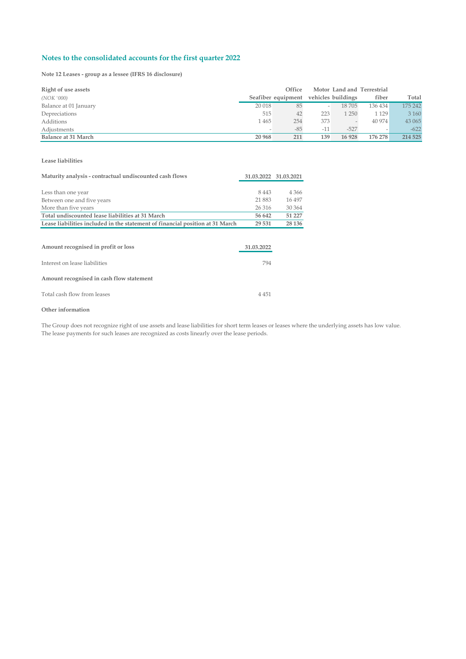**Note 12 Leases - group as a lessee (IFRS 16 disclosure)**

| Right of use assets   |        | Office             |       |                    | Motor Land and Terrestrial |         |
|-----------------------|--------|--------------------|-------|--------------------|----------------------------|---------|
| (NOK '000)            |        | Seafiber equipment |       | vehicles buildings | fiber                      | Total   |
| Balance at 01 January | 20 018 | 85                 |       | 18705              | 136 434                    | 175 242 |
| Depreciations         | 515    | 42                 | 223   | 1 250              | 1 1 2 9                    | 3 1 6 0 |
| Additions             | 1465   | 254                | 373   |                    | 40 974                     | 43 065  |
| Adjustments           |        | $-85$              | $-11$ | $-527$             |                            | $-622$  |
| Balance at 31 March   | 20 968 | 211                | 139   | 16 928             | 176 278                    | 214 525 |

#### **Lease liabilities**

| Maturity analysis - contractual undiscounted cash flows                       | 31.03.2022 31.03.2021 |         |  |
|-------------------------------------------------------------------------------|-----------------------|---------|--|
|                                                                               |                       |         |  |
| Less than one year                                                            | 8 4 4 3               | 4 3 6 6 |  |
| Between one and five years                                                    | 21 883                | 16 497  |  |
| More than five years                                                          | 26 316                | 30 364  |  |
| Total undiscounted lease liabilities at 31 March                              | 56 642                | 51 227  |  |
| Lease liabilities included in the statement of financial position at 31 March | 29 531                | 28 136  |  |
|                                                                               |                       |         |  |
|                                                                               |                       |         |  |
| Amount recognised in profit or loss                                           | 31.03.2022            |         |  |
|                                                                               |                       |         |  |
| Interest on lease liabilities                                                 | 794                   |         |  |
|                                                                               |                       |         |  |
| Amount recognised in cash flow statement                                      |                       |         |  |
|                                                                               |                       |         |  |
| Total cash flow from leases                                                   | 4 4 5 1               |         |  |
|                                                                               |                       |         |  |

#### **Other information**

The Group does not recognize right of use assets and lease liabilities for short term leases or leases where the underlying assets has low value. The lease payments for such leases are recognized as costs linearly over the lease periods.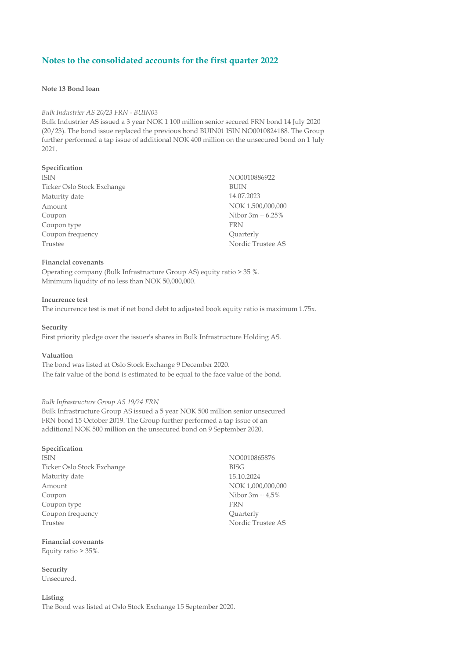### **Note 13 Bond loan**

#### *Bulk Industrier AS 20/23 FRN - BUIN03*

Bulk Industrier AS issued a 3 year NOK 1 100 million senior secured FRN bond 14 July 2020 (20/23). The bond issue replaced the previous bond BUIN01 ISIN NO0010824188. The Group further performed a tap issue of additional NOK 400 million on the unsecured bond on 1 July 2021.

#### **Specification**

ISIN NO0010886922 Ticker Oslo Stock Exchange BUIN Maturity date 14.07.2023 Amount NOK 1,500,000,000 Coupon Nibor 3m + 6.25% Coupon type FRN Coupon frequency Quarterly Trustee AS

### **Financial covenants**

Operating company (Bulk Infrastructure Group AS) equity ratio > 35 %. Minimum liqudity of no less than NOK 50,000,000.

#### **Incurrence test**

The incurrence test is met if net bond debt to adjusted book equity ratio is maximum 1.75x.

#### **Security**

First priority pledge over the issuer's shares in Bulk Infrastructure Holding AS.

#### **Valuation**

The bond was listed at Oslo Stock Exchange 9 December 2020. The fair value of the bond is estimated to be equal to the face value of the bond.

#### *Bulk Infrastructure Group AS 19/24 FRN*

Bulk Infrastructure Group AS issued a 5 year NOK 500 million senior unsecured FRN bond 15 October 2019. The Group further performed a tap issue of an additional NOK 500 million on the unsecured bond on 9 September 2020.

#### **Specification**

ISIN NO0010865876 Ticker Oslo Stock Exchange BISG Maturity date 15.10.2024 Amount NOK 1,000,000,000 Coupon Nibor 3m + 4,5% Coupon type FRN Coupon frequency Coupon frequency Coupon frequency Trustee AS

#### **Financial covenants**

Equity ratio > 35%.

#### **Security**

Unsecured.

#### **Listing**

The Bond was listed at Oslo Stock Exchange 15 September 2020.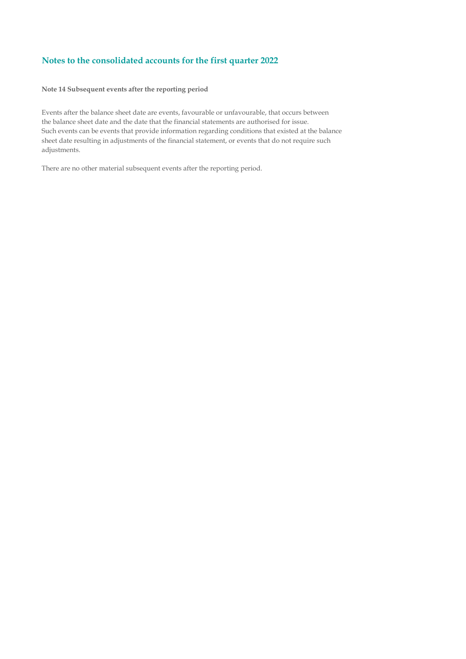### **Note 14 Subsequent events after the reporting period**

Events after the balance sheet date are events, favourable or unfavourable, that occurs between the balance sheet date and the date that the financial statements are authorised for issue. Such events can be events that provide information regarding conditions that existed at the balance sheet date resulting in adjustments of the financial statement, or events that do not require such adjustments.

There are no other material subsequent events after the reporting period.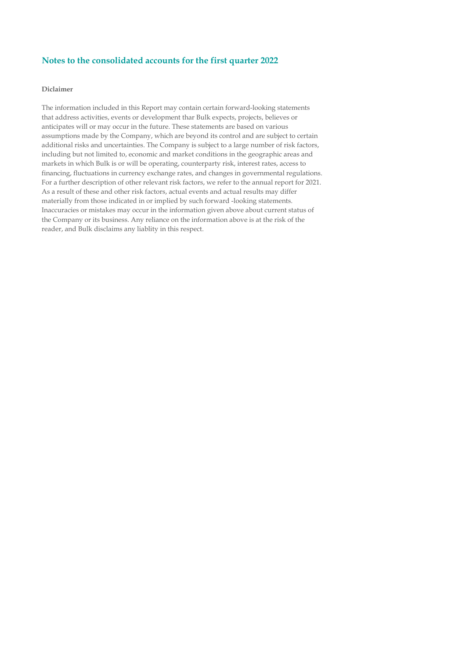### **Diclaimer**

The information included in this Report may contain certain forward-looking statements that address activities, events or development thar Bulk expects, projects, believes or anticipates will or may occur in the future. These statements are based on various assumptions made by the Company, which are beyond its control and are subject to certain additional risks and uncertainties. The Company is subject to a large number of risk factors, including but not limited to, economic and market conditions in the geographic areas and markets in which Bulk is or will be operating, counterparty risk, interest rates, access to financing, fluctuations in currency exchange rates, and changes in governmental regulations. For a further description of other relevant risk factors, we refer to the annual report for 2021. As a result of these and other risk factors, actual events and actual results may differ materially from those indicated in or implied by such forward -looking statements. Inaccuracies or mistakes may occur in the information given above about current status of the Company or its business. Any reliance on the information above is at the risk of the reader, and Bulk disclaims any liablity in this respect.